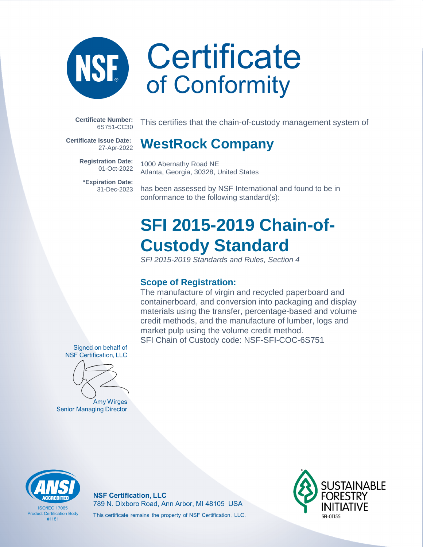

**Certificate Number:** 6S751-CC30

**Certificate Issue Date:** 27-Apr-2022

> **Registration Date:** 01-Oct-2022

**\*Expiration Date:** 31-Dec-2023 This certifies that the chain-of-custody management system of

### **WestRock Company**

1000 Abernathy Road NE Atlanta, Georgia, 30328, United States

has been assessed by NSF International and found to be in conformance to the following standard(s):

### **SFI 2015-2019 Chain-of-Custody Standard**

SFI 2015-2019 Standards and Rules, Section 4

### **Scope of Registration:**

The manufacture of virgin and recycled paperboard and containerboard, and conversion into packaging and display materials using the transfer, percentage-based and volume credit methods, and the manufacture of lumber, logs and market pulp using the volume credit method. SFI Chain of Custody code: NSF-SFI-COC-6S751

Signed on behalf of **NSF Certification, LLC** 



Amy Wirges **Senior Managing Director** 



**ISO/IFC 17065 Product Certification Body** #1181

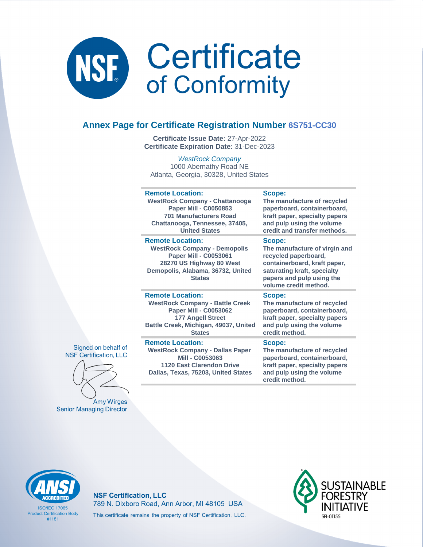

### **Annex Page for Certificate Registration Number 6S751-CC30**

**Certificate Issue Date:** 27-Apr-2022 **Certificate Expiration Date:** 31-Dec-2023

WestRock Company 1000 Abernathy Road NE Atlanta, Georgia, 30328, United States

| <b>Remote Location:</b>                                                                                                                                                          | Scope:                                                                                                                                                                               |
|----------------------------------------------------------------------------------------------------------------------------------------------------------------------------------|--------------------------------------------------------------------------------------------------------------------------------------------------------------------------------------|
| <b>WestRock Company - Chattanooga</b>                                                                                                                                            | The manufacture of recycled                                                                                                                                                          |
| <b>Paper Mill - C0050853</b>                                                                                                                                                     | paperboard, containerboard,                                                                                                                                                          |
| <b>701 Manufacturers Road</b>                                                                                                                                                    | kraft paper, specialty papers                                                                                                                                                        |
| Chattanooga, Tennessee, 37405,                                                                                                                                                   | and pulp using the volume                                                                                                                                                            |
| <b>United States</b>                                                                                                                                                             | credit and transfer methods.                                                                                                                                                         |
| <b>Remote Location:</b><br><b>WestRock Company - Demopolis</b><br><b>Paper Mill - C0053061</b><br>28270 US Highway 80 West<br>Demopolis, Alabama, 36732, United<br><b>States</b> | Scope:<br>The manufacture of virgin and<br>recycled paperboard,<br>containerboard, kraft paper,<br>saturating kraft, specialty<br>papers and pulp using the<br>volume credit method. |
| <b>Remote Location:</b>                                                                                                                                                          | Scope:                                                                                                                                                                               |
| <b>WestRock Company - Battle Creek</b>                                                                                                                                           | The manufacture of recycled                                                                                                                                                          |
| <b>Paper Mill - C0053062</b>                                                                                                                                                     | paperboard, containerboard,                                                                                                                                                          |
| <b>177 Angell Street</b>                                                                                                                                                         | kraft paper, specialty papers                                                                                                                                                        |
| Battle Creek, Michigan, 49037, United                                                                                                                                            | and pulp using the volume                                                                                                                                                            |
| <b>States</b>                                                                                                                                                                    | credit method.                                                                                                                                                                       |
| <b>Remote Location:</b><br><b>WestRock Company - Dallas Paper</b><br>Mill - C0053063<br><b>1120 East Clarendon Drive</b><br>Dallas, Texas, 75203, United States                  | Scope:<br>The manufacture of recycled<br>paperboard, containerboard,<br>kraft paper, specialty papers<br>and pulp using the volume<br>credit method.                                 |

Signed on behalf of **NSF Certification, LLC** 



**Amy Wirges Senior Managing Director** 



**ISO/IFC 17065 Product Certification Body** #1181

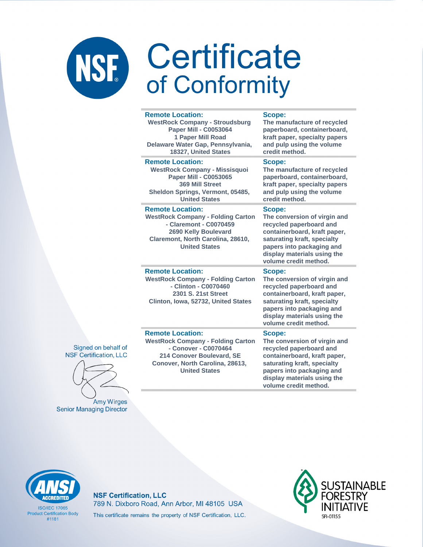#### **Remote Location:**

**WestRock Company - Stroudsburg Paper Mill - C0053064 1 Paper Mill Road Delaware Water Gap, Pennsylvania, 18327, United States**

#### **Remote Location:**

**WestRock Company - Missisquoi Paper Mill - C0053065 369 Mill Street Sheldon Springs, Vermont, 05485, United States**

#### **Remote Location:**

**WestRock Company - Folding Carton - Claremont - C0070459 2690 Kelly Boulevard Claremont, North Carolina, 28610, United States**

#### **Remote Location:**

**WestRock Company - Folding Carton - Clinton - C0070460 2301 S. 21st Street Clinton, Iowa, 52732, United States**

#### **Scope:**

**The manufacture of recycled paperboard, containerboard, kraft paper, specialty papers and pulp using the volume credit method.**

#### **Scope:**

**The manufacture of recycled paperboard, containerboard, kraft paper, specialty papers and pulp using the volume credit method.**

#### **Scope:**

**The conversion of virgin and recycled paperboard and containerboard, kraft paper, saturating kraft, specialty papers into packaging and display materials using the volume credit method.**

#### **Scope:**

**The conversion of virgin and recycled paperboard and containerboard, kraft paper, saturating kraft, specialty papers into packaging and display materials using the volume credit method.**

#### **Remote Location:**

**WestRock Company - Folding Carton - Conover - C0070464 214 Conover Boulevard, SE Conover, North Carolina, 28613, United States**

#### **Scope:**

**The conversion of virgin and recycled paperboard and containerboard, kraft paper, saturating kraft, specialty papers into packaging and display materials using the volume credit method.**



**Amy Wirges Senior Managing Director** 

**ISO/IFC 17065 Product Certification Body** #1181

**NSF Certification, LLC** 789 N. Dixboro Road, Ann Arbor, MI 48105 USA This certificate remains the property of NSF Certification, LLC.



Signed on behalf of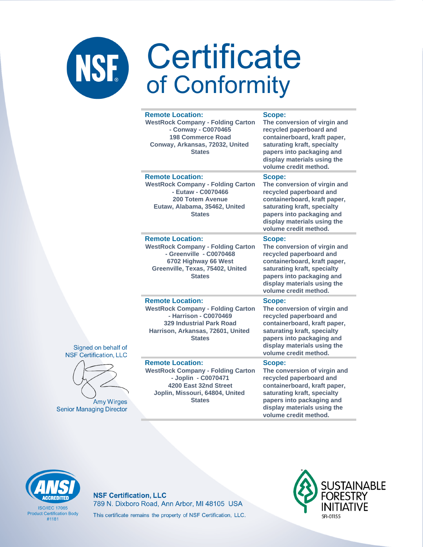| <b>Remote Location:</b><br><b>WestRock Company - Folding Carton</b><br>- Conway - C0070465<br><b>198 Commerce Road</b><br>Conway, Arkansas, 72032, United<br><b>States</b>            | Scope:<br>The conversion of virgin and<br>recycled paperboard and<br>containerboard, kraft paper,<br>saturating kraft, specialty<br>papers into packaging and<br>display materials using the<br>volume credit method. |
|---------------------------------------------------------------------------------------------------------------------------------------------------------------------------------------|-----------------------------------------------------------------------------------------------------------------------------------------------------------------------------------------------------------------------|
| <b>Remote Location:</b><br><b>WestRock Company - Folding Carton</b><br>- Eutaw - C0070466<br>200 Totem Avenue<br>Eutaw, Alabama, 35462, United<br><b>States</b>                       | Scope:<br>The conversion of virgin and<br>recycled paperboard and<br>containerboard, kraft paper,<br>saturating kraft, specialty<br>papers into packaging and<br>display materials using the<br>volume credit method. |
| <b>Remote Location:</b><br><b>WestRock Company - Folding Carton</b><br>- Greenville - C0070468<br>6702 Highway 66 West<br>Greenville, Texas, 75402, United<br><b>States</b>           | Scope:<br>The conversion of virgin and<br>recycled paperboard and<br>containerboard, kraft paper,<br>saturating kraft, specialty<br>papers into packaging and<br>display materials using the<br>volume credit method. |
| <b>Remote Location:</b><br><b>WestRock Company - Folding Carton</b><br>- Harrison - C0070469<br><b>329 Industrial Park Road</b><br>Harrison, Arkansas, 72601, United<br><b>States</b> | Scope:<br>The conversion of virgin and<br>recycled paperboard and<br>containerboard, kraft paper,<br>saturating kraft, specialty<br>papers into packaging and<br>display materials using the<br>volume credit method. |
| <b>Remote Location:</b><br><b>WestRock Company - Folding Carton</b><br>- Joplin - C0070471<br>4200 East 32nd Street<br>Joplin, Missouri, 64804, United<br><b>States</b>               | Scope:<br>The conversion of virgin and<br>recycled paperboard and<br>containerboard, kraft paper,<br>saturating kraft, specialty<br>papers into packaging and<br>display materials using the                          |





**Amy Wirges Senior Managing Director** 

volume credit method.



**ISO/IFC 17065 Product Certification Body**  $#1181$ 

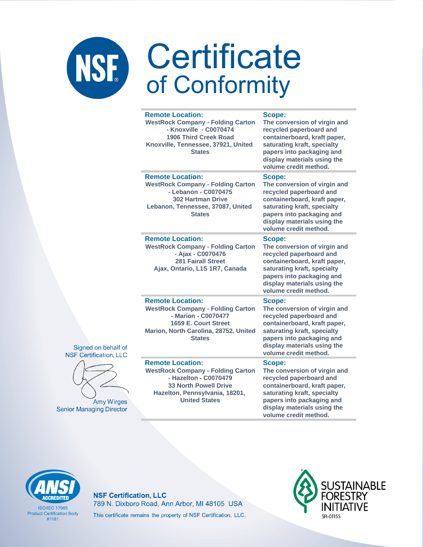| <b>Remote Location:</b><br><b>WestRock Company - Folding Carton</b><br>- Knoxville - C0070474<br><b>1906 Third Creek Road</b><br>Knoxville, Tennessee, 37921, United<br><b>States</b>  | Scope:<br>The conversion of virgin and<br>recycled paperboard and<br>containerboard, kraft paper,<br>saturating kraft, specialty<br>papers into packaging and<br>display materials using the<br>volume credit method.        |
|----------------------------------------------------------------------------------------------------------------------------------------------------------------------------------------|------------------------------------------------------------------------------------------------------------------------------------------------------------------------------------------------------------------------------|
| <b>Remote Location:</b><br><b>WestRock Company - Folding Carton</b><br>- Lebanon - C0070475<br><b>302 Hartman Drive</b><br>Lebanon, Tennessee, 37087, United<br><b>States</b>          | Scope:<br>The conversion of virgin and<br>recycled paperboard and<br>containerboard, kraft paper,<br>saturating kraft, specialty<br>papers into packaging and<br>display materials using the<br>volume credit method.        |
| <b>Remote Location:</b><br><b>WestRock Company - Folding Carton</b><br>- Ajax - C0070476<br><b>281 Fairall Street</b><br>Ajax, Ontario, L1S 1R7, Canada                                | <b>Scope:</b><br>The conversion of virgin and<br>recycled paperboard and<br>containerboard, kraft paper,<br>saturating kraft, specialty<br>papers into packaging and<br>display materials using the<br>volume credit method. |
| <b>Remote Location:</b><br><b>WestRock Company - Folding Carton</b><br>- Marion - C0070477<br>1659 E. Court Street<br>Marion, North Carolina, 28752, United<br><b>States</b>           | Scope:<br>The conversion of virgin and<br>recycled paperboard and<br>containerboard, kraft paper,<br>saturating kraft, specialty<br>papers into packaging and<br>display materials using the<br>volume credit method.        |
| <b>Remote Location:</b><br><b>WestRock Company - Folding Carton</b><br>- Hazelton - C0070479<br><b>33 North Powell Drive</b><br>Hazelton, Pennsylvania, 18201,<br><b>United States</b> | Scope:<br>The conversion of virgin and<br>recycled paperboard and<br>containerboard, kraft paper,<br>saturating kraft, specialty<br>papers into packaging and<br>display materials using the                                 |





**Amy Wirges Senior Managing Director** 

**ISO/IFC 17065 Product Certification Body**  $#1181$ 

### **NSF Certification, LLC** 789 N. Dixboro Road, Ann Arbor, MI 48105 USA This certificate remains the property of NSF Certification, LLC.



volume credit method.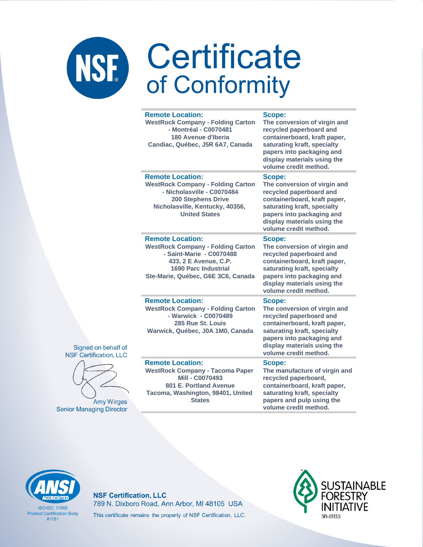| <b>Remote Location:</b><br><b>WestRock Company - Folding Carton</b><br>- Montréal - C0070481<br>180 Avenue d'Iberia<br>Candiac, Québec, J5R 6A7, Canada                                       | Scope:<br>The conversion of virgin and<br>recycled paperboard and<br>containerboard, kraft paper,<br>saturating kraft, specialty<br>papers into packaging and<br>display materials using the<br>volume credit method. |
|-----------------------------------------------------------------------------------------------------------------------------------------------------------------------------------------------|-----------------------------------------------------------------------------------------------------------------------------------------------------------------------------------------------------------------------|
| <b>Remote Location:</b><br><b>WestRock Company - Folding Carton</b><br>- Nicholasville - C0070484<br><b>200 Stephens Drive</b><br>Nicholasville, Kentucky, 40356,<br><b>United States</b>     | Scope:<br>The conversion of virgin and<br>recycled paperboard and<br>containerboard, kraft paper,<br>saturating kraft, specialty<br>papers into packaging and<br>display materials using the<br>volume credit method. |
| <b>Remote Location:</b><br><b>WestRock Company - Folding Carton</b><br>- Saint-Marie - C0070488<br>433, 2 E Avenue, C.P.<br><b>1690 Parc Industrial</b><br>Ste-Marie, Québec, G6E 3C6, Canada | Scope:<br>The conversion of virgin and<br>recycled paperboard and<br>containerboard, kraft paper,<br>saturating kraft, specialty<br>papers into packaging and<br>display materials using the<br>volume credit method. |
| <b>Remote Location:</b><br><b>WestRock Company - Folding Carton</b><br>- Warwick - C0070489<br>285 Rue St. Louis<br>Warwick, Québec, J0A 1M0, Canada                                          | Scope:<br>The conversion of virgin and<br>recycled paperboard and<br>containerboard, kraft paper,<br>saturating kraft, specialty<br>papers into packaging and<br>display materials using the<br>volume credit method. |
| <b>Remote Location:</b><br><b>WestRock Company - Tacoma Paper</b><br><b>Mill - C0070493</b><br>801 E. Portland Avenue<br>Tacoma, Washington, 98401, United<br><b>States</b>                   | Scope:<br>The manufacture of virgin and<br>recycled paperboard,<br>containerboard, kraft paper,<br>saturating kraft, specialty<br>papers and pulp using the<br>volume credit method.                                  |





Amy Wirge **Senior Managing Direct** 



**ISO/IEC 17065 Product Certification Body**  $#1181$ 

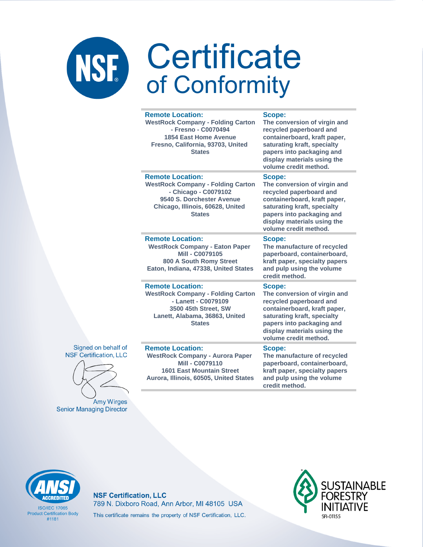|         | <b>Remote Location:</b><br><b>WestRock Company - Folding Carton</b><br>- Fresno - C0070494<br><b>1854 East Home Avenue</b><br>Fresno, California, 93703, United<br><b>States</b> | <b>Scope:</b><br>The conversion of virgin and<br>recycled paperboard and<br>containerboard, kraft paper,<br>saturating kraft, specialty<br>papers into packaging and<br>display materials using the<br>volume credit method. |
|---------|----------------------------------------------------------------------------------------------------------------------------------------------------------------------------------|------------------------------------------------------------------------------------------------------------------------------------------------------------------------------------------------------------------------------|
|         | <b>Remote Location:</b><br><b>WestRock Company - Folding Carton</b><br>- Chicago - C0079102<br>9540 S. Dorchester Avenue<br>Chicago, Illinois, 60628, United<br><b>States</b>    | Scope:<br>The conversion of virgin and<br>recycled paperboard and<br>containerboard, kraft paper,<br>saturating kraft, specialty<br>papers into packaging and<br>display materials using the<br>volume credit method.        |
|         | <b>Remote Location:</b><br><b>WestRock Company - Eaton Paper</b><br><b>Mill - C0079105</b><br><b>800 A South Romy Street</b><br>Eaton, Indiana, 47338, United States             | Scope:<br>The manufacture of recycled<br>paperboard, containerboard,<br>kraft paper, specialty papers<br>and pulp using the volume<br>credit method.                                                                         |
|         | <b>Remote Location:</b><br><b>WestRock Company - Folding Carton</b><br>- Lanett - C0079109<br>3500 45th Street, SW<br>Lanett, Alabama, 36863, United<br><b>States</b>            | Scope:<br>The conversion of virgin and<br>recycled paperboard and<br>containerboard, kraft paper,<br>saturating kraft, specialty<br>papers into packaging and<br>display materials using the<br>volume credit method.        |
| эt<br>C | <b>Remote Location:</b><br><b>WestRock Company - Aurora Paper</b><br><b>Mill - C0079110</b><br><b>1601 East Mountain Street</b><br>Aurora, Illinois, 60505, United States        | Scope:<br>The manufacture of recycled<br>paperboard, containerboard,<br>kraft paper, specialty papers<br>and pulp using the volume<br>credit method.                                                                         |

Signed on behalf o **NSF Certification, LL** 

Amy Wirges **Senior Managing Director** 

**CCREDITED** 

**ISO/IEC 17065 Product Certification Body** 

 $#1181$ 

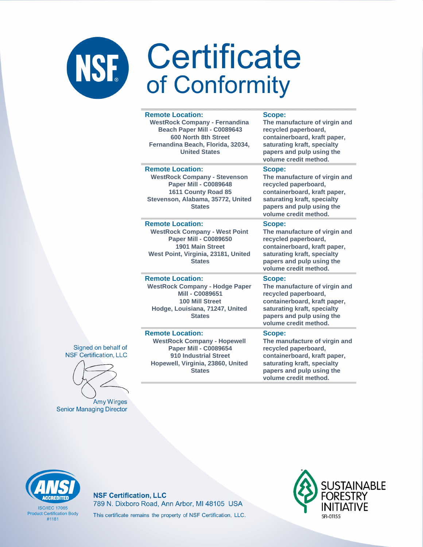#### **Remote Location:**

**WestRock Company - Fernandina Beach Paper Mill - C0089643 600 North 8th Street Fernandina Beach, Florida, 32034, United States**

**Remote Location: WestRock Company - Stevenson Paper Mill - C0089648 1611 County Road 85 Stevenson, Alabama, 35772, United States**

#### **Remote Location:**

**WestRock Company - West Point Paper Mill - C0089650 1901 Main Street West Point, Virginia, 23181, United States**

#### **Remote Location: WestRock Company - Hodge Paper**

**Mill - C0089651 100 Mill Street Hodge, Louisiana, 71247, United States**

#### **Remote Location:**

**WestRock Company - Hopewell Paper Mill - C0089654 910 Industrial Street Hopewell, Virginia, 23860, United States**

#### **Scope:**

**The manufacture of virgin and recycled paperboard, containerboard, kraft paper, saturating kraft, specialty papers and pulp using the volume credit method.**

#### **Scope:**

**The manufacture of virgin and recycled paperboard, containerboard, kraft paper, saturating kraft, specialty papers and pulp using the volume credit method.**

#### **Scope:**

**The manufacture of virgin and recycled paperboard, containerboard, kraft paper, saturating kraft, specialty papers and pulp using the volume credit method.**

#### **Scope:**

**The manufacture of virgin and recycled paperboard, containerboard, kraft paper, saturating kraft, specialty papers and pulp using the volume credit method.**

#### **Scope:**

**The manufacture of virgin and recycled paperboard, containerboard, kraft paper, saturating kraft, specialty papers and pulp using the volume credit method.**



Signed on behalf of

**Amy Wirges Senior Managing Director** 



**ISO/IFC 17065 Product Certification Body** #1181

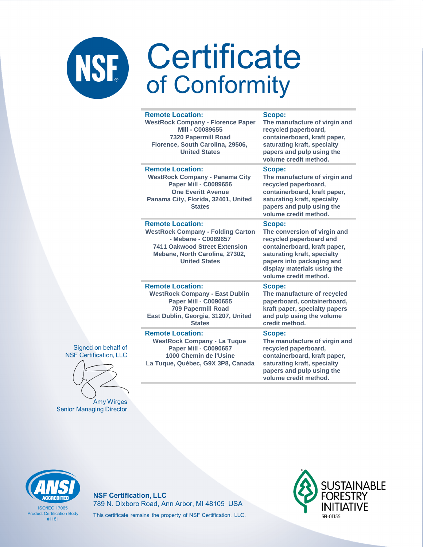|  | <b>Remote Location:</b><br><b>WestRock Company - Florence Paper</b><br>Mill - C0089655<br><b>7320 Papermill Road</b><br>Florence, South Carolina, 29506,<br><b>United States</b>             | Scope:<br>The manufacture of virgin and<br>recycled paperboard,<br>containerboard, kraft paper,<br>saturating kraft, specialty<br>papers and pulp using the<br>volume credit method.                                  |
|--|----------------------------------------------------------------------------------------------------------------------------------------------------------------------------------------------|-----------------------------------------------------------------------------------------------------------------------------------------------------------------------------------------------------------------------|
|  | <b>Remote Location:</b><br><b>WestRock Company - Panama City</b><br><b>Paper Mill - C0089656</b><br><b>One Everitt Avenue</b><br>Panama City, Florida, 32401, United<br><b>States</b>        | Scope:<br>The manufacture of virgin and<br>recycled paperboard,<br>containerboard, kraft paper,<br>saturating kraft, specialty<br>papers and pulp using the<br>volume credit method.                                  |
|  | <b>Remote Location:</b><br><b>WestRock Company - Folding Carton</b><br>- Mebane - C0089657<br><b>7411 Oakwood Street Extension</b><br>Mebane, North Carolina, 27302,<br><b>United States</b> | Scope:<br>The conversion of virgin and<br>recycled paperboard and<br>containerboard, kraft paper,<br>saturating kraft, specialty<br>papers into packaging and<br>display materials using the<br>volume credit method. |
|  | <b>Remote Location:</b><br><b>WestRock Company - East Dublin</b><br><b>Paper Mill - C0090655</b><br><b>709 Papermill Road</b><br>East Dublin, Georgia, 31207, United<br><b>States</b>        | Scope:<br>The manufacture of recycled<br>paperboard, containerboard,<br>kraft paper, specialty papers<br>and pulp using the volume<br>credit method.                                                                  |
|  | <b>Remote Location:</b><br><b>WestRock Company - La Tuque</b><br><b>Paper Mill - C0090657</b><br>1000 Chemin de l'Usine<br>La Tuque, Québec, G9X 3P8, Canada                                 | Scope:<br>The manufacture of virgin and<br>recycled paperboard,<br>containerboard, kraft paper,<br>saturating kraft, specialty<br>papers and pulp using the<br>volume credit method                                   |

Signed on behalf of **NSF Certification, LLC** 

Amy Wirges **Senior Managing Director** 



**ISO/IFC 17065 Product Certification Body**  $#1181$ 

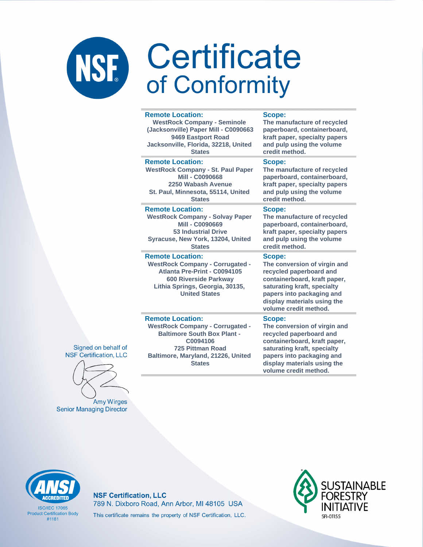#### **Remote Location:**

**WestRock Company - Seminole (Jacksonville) Paper Mill - C0090663 9469 Eastport Road Jacksonville, Florida, 32218, United States Remote Location:** 

**WestRock Company - St. Paul Paper Mill - C0090668 2250 Wabash Avenue St. Paul, Minnesota, 55114, United States**

#### **Remote Location:**

**WestRock Company - Solvay Paper Mill - C0090669 53 Industrial Drive Syracuse, New York, 13204, United States**

#### **Remote Location:**

**Remote Location:** 

**WestRock Company - Corrugated - Atlanta Pre-Print - C0094105 600 Riverside Parkway Lithia Springs, Georgia, 30135, United States**

**WestRock Company - Corrugated - Baltimore South Box Plant - C0094106 725 Pittman Road Baltimore, Maryland, 21226, United States**

#### **Scope:**

**The manufacture of recycled paperboard, containerboard, kraft paper, specialty papers and pulp using the volume credit method.**

#### **Scope:**

**The manufacture of recycled paperboard, containerboard, kraft paper, specialty papers and pulp using the volume credit method.**

#### **Scope:**

**The manufacture of recycled paperboard, containerboard, kraft paper, specialty papers and pulp using the volume credit method.**

#### **Scope:**

**The conversion of virgin and recycled paperboard and containerboard, kraft paper, saturating kraft, specialty papers into packaging and display materials using the volume credit method.**

#### **Scope:**

**The conversion of virgin and recycled paperboard and containerboard, kraft paper, saturating kraft, specialty papers into packaging and display materials using the volume credit method.**

Signed on behalf of **NSF Certification, LLC** 

**Amy Wirges Senior Managing Director** 



**ISO/IFC 17065 Product Certification Body** #1181

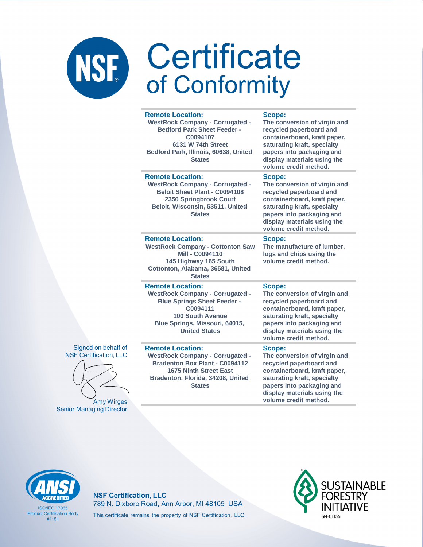| <b>Remote Location:</b><br><b>WestRock Company - Corrugated -</b><br><b>Bedford Park Sheet Feeder -</b><br>C0094107<br>6131 W 74th Street<br>Bedford Park, Illinois, 60638, United<br><b>States</b>      | Scope:<br>The conversion of virgin and<br>recycled paperboard and<br>containerboard, kraft paper,<br>saturating kraft, specialty<br>papers into packaging and<br>display materials using the<br>volume credit method. |
|----------------------------------------------------------------------------------------------------------------------------------------------------------------------------------------------------------|-----------------------------------------------------------------------------------------------------------------------------------------------------------------------------------------------------------------------|
| <b>Remote Location:</b><br><b>WestRock Company - Corrugated -</b><br><b>Beloit Sheet Plant - C0094108</b><br>2350 Springbrook Court<br>Beloit, Wisconsin, 53511, United<br><b>States</b>                 | Scope:<br>The conversion of virgin and<br>recycled paperboard and<br>containerboard, kraft paper,<br>saturating kraft, specialty<br>papers into packaging and<br>display materials using the<br>volume credit method. |
| <b>Remote Location:</b><br><b>WestRock Company - Cottonton Saw</b><br>Mill - C0094110<br>145 Highway 165 South<br>Cottonton, Alabama, 36581, United<br><b>States</b>                                     | Scope:<br>The manufacture of lumber,<br>logs and chips using the<br>volume credit method.                                                                                                                             |
| <b>Remote Location:</b><br><b>WestRock Company - Corrugated -</b><br><b>Blue Springs Sheet Feeder -</b><br>C0094111<br><b>100 South Avenue</b><br>Blue Springs, Missouri, 64015,<br><b>United States</b> | Scope:<br>The conversion of virgin and<br>recycled paperboard and<br>containerboard, kraft paper,<br>saturating kraft, specialty<br>papers into packaging and<br>display materials using the<br>volume credit method. |
| <b>Remote Location:</b><br><b>WestRock Company - Corrugated -</b><br><b>Bradenton Box Plant - C0094112</b><br><b>1675 Ninth Street East</b><br>Bradenton, Florida, 34208, United<br><b>States</b>        | Scope:<br>The conversion of virgin and<br>recycled paperboard and<br>containerboard, kraft paper,<br>saturating kraft, specialty<br>papers into packaging and<br>display materials using the<br>volume credit method. |





**Amy Wirges Senior Managing Director** 

**CCREDITED** 

**ISO/IFC 17065 Product Certification Body** 

 $#1181$ 

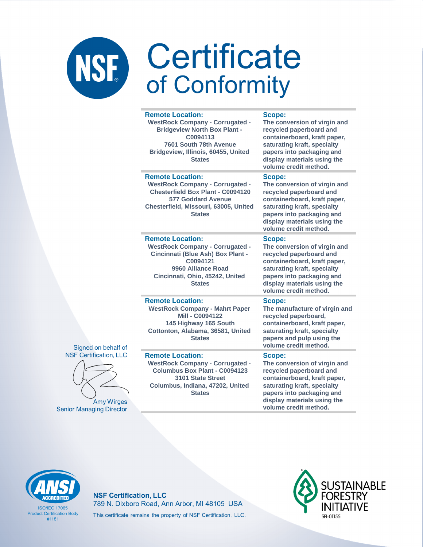|                        | <b>Remote Location:</b><br><b>WestRock Company - Corrugated -</b><br><b>Bridgeview North Box Plant -</b><br>C0094113<br>7601 South 78th Avenue<br>Bridgeview, Illinois, 60455, United<br><b>States</b> | Scope:<br>The conversion of virgin and<br>recycled paperboard and<br>containerboard, kraft paper,<br>saturating kraft, specialty<br>papers into packaging and<br>display materials using the<br>volume credit method. |
|------------------------|--------------------------------------------------------------------------------------------------------------------------------------------------------------------------------------------------------|-----------------------------------------------------------------------------------------------------------------------------------------------------------------------------------------------------------------------|
|                        | <b>Remote Location:</b><br><b>WestRock Company - Corrugated -</b><br><b>Chesterfield Box Plant - C0094120</b><br><b>577 Goddard Avenue</b><br>Chesterfield, Missouri, 63005, United<br><b>States</b>   | Scope:<br>The conversion of virgin and<br>recycled paperboard and<br>containerboard, kraft paper,<br>saturating kraft, specialty<br>papers into packaging and<br>display materials using the<br>volume credit method. |
|                        | <b>Remote Location:</b><br><b>WestRock Company - Corrugated -</b><br>Cincinnati (Blue Ash) Box Plant -<br>C0094121<br>9960 Alliance Road<br>Cincinnati, Ohio, 45242, United<br><b>States</b>           | Scope:<br>The conversion of virgin and<br>recycled paperboard and<br>containerboard, kraft paper,<br>saturating kraft, specialty<br>papers into packaging and<br>display materials using the<br>volume credit method. |
| $\overline{\text{of}}$ | <b>Remote Location:</b><br><b>WestRock Company - Mahrt Paper</b><br><b>Mill - C0094122</b><br>145 Highway 165 South<br>Cottonton, Alabama, 36581, United<br><b>States</b>                              | Scope:<br>The manufacture of virgin and<br>recycled paperboard,<br>containerboard, kraft paper,<br>saturating kraft, specialty<br>papers and pulp using the<br>volume credit method.                                  |
| LC                     | <b>Remote Location:</b><br><b>WestRock Company - Corrugated -</b><br>Columbus Box Plant - C0094123<br>3101 State Street<br>Columbus, Indiana, 47202, United<br><b>States</b>                           | Scope:<br>The conversion of virgin and<br>recycled paperboard and<br>containerboard, kraft paper,<br>saturating kraft, specialty<br>papers into packaging and                                                         |

#### Signed on behalf **NSF** Certification, L



**Amy Wirges Senior Managing Director** 

display materials using the volume credit method.



**ISO/IFC 17065 Product Certification Body**  $#1181$ 

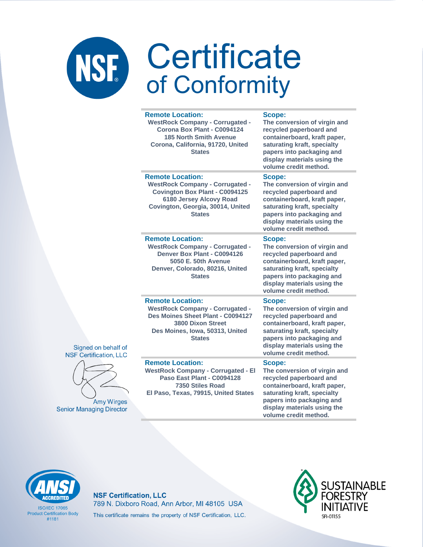| <b>Remote Location:</b><br><b>WestRock Company - Corrugated -</b><br>Corona Box Plant - C0094124<br><b>185 North Smith Avenue</b><br>Corona, California, 91720, United<br><b>States</b>     | Scope:<br>The conversion of virgin and<br>recycled paperboard and<br>containerboard, kraft paper,<br>saturating kraft, specialty<br>papers into packaging and<br>display materials using the<br>volume credit method. |
|---------------------------------------------------------------------------------------------------------------------------------------------------------------------------------------------|-----------------------------------------------------------------------------------------------------------------------------------------------------------------------------------------------------------------------|
| <b>Remote Location:</b><br><b>WestRock Company - Corrugated -</b><br><b>Covington Box Plant - C0094125</b><br>6180 Jersey Alcovy Road<br>Covington, Georgia, 30014, United<br><b>States</b> | Scope:<br>The conversion of virgin and<br>recycled paperboard and<br>containerboard, kraft paper,<br>saturating kraft, specialty<br>papers into packaging and<br>display materials using the<br>volume credit method. |
| <b>Remote Location:</b><br><b>WestRock Company - Corrugated -</b><br>Denver Box Plant - C0094126<br>5050 E. 50th Avenue<br>Denver, Colorado, 80216, United<br><b>States</b>                 | Scope:<br>The conversion of virgin and<br>recycled paperboard and<br>containerboard, kraft paper,<br>saturating kraft, specialty<br>papers into packaging and<br>display materials using the<br>volume credit method. |
| <b>Remote Location:</b><br><b>WestRock Company - Corrugated -</b><br>Des Moines Sheet Plant - C0094127<br><b>3800 Dixon Street</b><br>Des Moines, Iowa, 50313, United<br><b>States</b>      | Scope:<br>The conversion of virgin and<br>recycled paperboard and<br>containerboard, kraft paper,<br>saturating kraft, specialty<br>papers into packaging and<br>display materials using the<br>volume credit method. |
| <b>Remote Location:</b><br><b>WestRock Company - Corrugated - El</b><br>Paso East Plant - C0094128<br>7350 Stiles Road<br>El Paso, Texas, 79915, United States                              | Scope:<br>The conversion of virgin and<br>recycled paperboard and<br>containerboard, kraft paper,<br>saturating kraft, specialty<br>papers into packaging and<br>display materials using the                          |

#### Signed on behalf of **NSF Certification, LLC**



**Amy Wirges Senior Managing Director** 

**ISO/IFC 17065 Product Certification Body**  $#1181$ 

### **NSF Certification, LLC** 789 N. Dixboro Road, Ann Arbor, MI 48105 USA This certificate remains the property of NSF Certification, LLC.



volume credit method.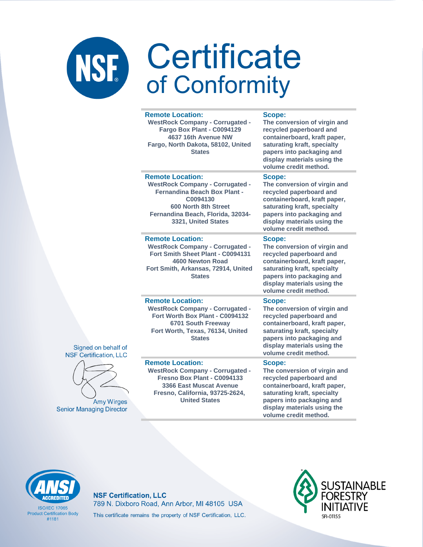#### **Remote Location:**

**WestRock Company - Corrugated - Fargo Box Plant - C0094129 4637 16th Avenue NW Fargo, North Dakota, 58102, United States**

#### **Scope:**

**The conversion of virgin and recycled paperboard and containerboard, kraft paper, saturating kraft, specialty papers into packaging and display materials using the volume credit method.**

#### **Remote Location:**

**WestRock Company - Corrugated - Fernandina Beach Box Plant - C0094130 600 North 8th Street Fernandina Beach, Florida, 32034- 3321, United States**

#### **Remote Location:**

**WestRock Company - Corrugated - Fort Smith Sheet Plant - C0094131 4600 Newton Road Fort Smith, Arkansas, 72914, United States**

### **Scope:**

**The conversion of virgin and recycled paperboard and containerboard, kraft paper, saturating kraft, specialty papers into packaging and display materials using the volume credit method.**

#### **Scope:**

**The conversion of virgin and recycled paperboard and containerboard, kraft paper, saturating kraft, specialty papers into packaging and display materials using the volume credit method.**

**The conversion of virgin and recycled paperboard and containerboard, kraft paper, saturating kraft, specialty papers into packaging and display materials using the** 

#### **Remote Location:**

**WestRock Company - Corrugated - Fort Worth Box Plant - C0094132 6701 South Freeway Fort Worth, Texas, 76134, United States**

#### **Remote Location:**

Signed on behalf of **NSF Certification, LLC** 

**Amy Wirges** 

**Senior Managing Director** 

**WestRock Company - Corrugated - Fresno Box Plant - C0094133 3366 East Muscat Avenue Fresno, California, 93725-2624, United States**

### **volume credit method.**

**Scope:**

**Scope: The conversion of virgin and recycled paperboard and containerboard, kraft paper, saturating kraft, specialty papers into packaging and display materials using the volume credit method.**



**ISO/IEC 17065 Product Certification Body** #1181

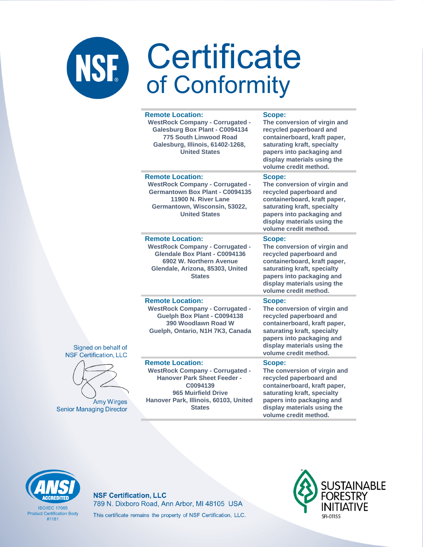| <b>Remote Location:</b><br><b>WestRock Company - Corrugated -</b><br>Galesburg Box Plant - C0094134<br>775 South Linwood Road<br>Galesburg, Illinois, 61402-1268,<br><b>United States</b>            | Scope:<br>The conversion of virgin and<br>recycled paperboard and<br>containerboard, kraft paper,<br>saturating kraft, specialty<br>papers into packaging and<br>display materials using the<br>volume credit method. |
|------------------------------------------------------------------------------------------------------------------------------------------------------------------------------------------------------|-----------------------------------------------------------------------------------------------------------------------------------------------------------------------------------------------------------------------|
| <b>Remote Location:</b><br><b>WestRock Company - Corrugated -</b><br><b>Germantown Box Plant - C0094135</b><br>11900 N. River Lane<br>Germantown, Wisconsin, 53022,<br><b>United States</b>          | Scope:<br>The conversion of virgin and<br>recycled paperboard and<br>containerboard, kraft paper,<br>saturating kraft, specialty<br>papers into packaging and<br>display materials using the<br>volume credit method. |
| <b>Remote Location:</b><br><b>WestRock Company - Corrugated -</b><br>Glendale Box Plant - C0094136<br>6902 W. Northern Avenue<br>Glendale, Arizona, 85303, United<br><b>States</b>                   | Scope:<br>The conversion of virgin and<br>recycled paperboard and<br>containerboard, kraft paper,<br>saturating kraft, specialty<br>papers into packaging and<br>display materials using the<br>volume credit method. |
| <b>Remote Location:</b><br><b>WestRock Company - Corrugated -</b><br>Guelph Box Plant - C0094138<br>390 Woodlawn Road W<br>Guelph, Ontario, N1H 7K3, Canada                                          | Scope:<br>The conversion of virgin and<br>recycled paperboard and<br>containerboard, kraft paper,<br>saturating kraft, specialty<br>papers into packaging and<br>display materials using the<br>volume credit method. |
| <b>Remote Location:</b><br><b>WestRock Company - Corrugated -</b><br><b>Hanover Park Sheet Feeder -</b><br>C0094139<br>965 Muirfield Drive<br>Hanover Park, Illinois, 60103, United<br><b>States</b> | Scope:<br>The conversion of virgin and<br>recycled paperboard and<br>containerboard, kraft paper,<br>saturating kraft, specialty<br>papers into packaging and<br>display materials using the<br>volume credit method. |



Signed on behalf of **NSF Certification, LLC** 

**Amy Wirges** 

**Senior Managing Director** 

**ISO/IFC 17065 Product Certification Body**  $#1181$ 

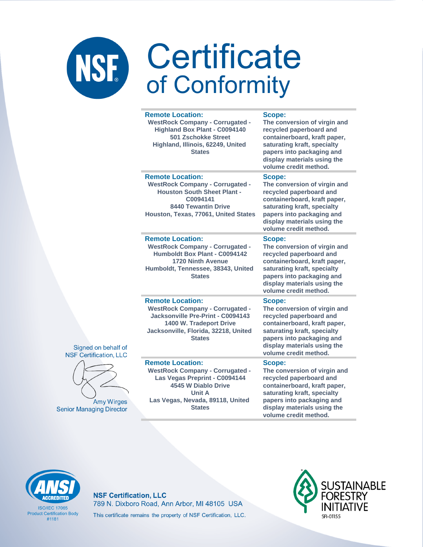|  | <b>Remote Location:</b><br><b>WestRock Company - Corrugated -</b><br><b>Highland Box Plant - C0094140</b><br><b>501 Zschokke Street</b><br>Highland, Illinois, 62249, United<br><b>States</b>   | Scope:<br>The conversion of virgin and<br>recycled paperboard and<br>containerboard, kraft paper,<br>saturating kraft, specialty<br>papers into packaging and<br>display materials using the<br>volume credit method. |
|--|-------------------------------------------------------------------------------------------------------------------------------------------------------------------------------------------------|-----------------------------------------------------------------------------------------------------------------------------------------------------------------------------------------------------------------------|
|  | <b>Remote Location:</b><br><b>WestRock Company - Corrugated -</b><br><b>Houston South Sheet Plant -</b><br>C0094141<br><b>8440 Tewantin Drive</b><br>Houston, Texas, 77061, United States       | Scope:<br>The conversion of virgin and<br>recycled paperboard and<br>containerboard, kraft paper,<br>saturating kraft, specialty<br>papers into packaging and<br>display materials using the<br>volume credit method. |
|  | <b>Remote Location:</b><br><b>WestRock Company - Corrugated -</b><br>Humboldt Box Plant - C0094142<br><b>1720 Ninth Avenue</b><br>Humboldt, Tennessee, 38343, United<br><b>States</b>           | Scope:<br>The conversion of virgin and<br>recycled paperboard and<br>containerboard, kraft paper,<br>saturating kraft, specialty<br>papers into packaging and<br>display materials using the<br>volume credit method. |
|  | <b>Remote Location:</b><br><b>WestRock Company - Corrugated -</b><br>Jacksonville Pre-Print - C0094143<br>1400 W. Tradeport Drive<br>Jacksonville, Florida, 32218, United<br><b>States</b>      | Scope:<br>The conversion of virgin and<br>recycled paperboard and<br>containerboard, kraft paper,<br>saturating kraft, specialty<br>papers into packaging and<br>display materials using the<br>volume credit method. |
|  | <b>Remote Location:</b><br><b>WestRock Company - Corrugated -</b><br>Las Vegas Preprint - C0094144<br>4545 W Diablo Drive<br><b>Unit A</b><br>Las Vegas, Nevada, 89118, United<br><b>States</b> | Scope:<br>The conversion of virgin and<br>recycled paperboard and<br>containerboard, kraft paper,<br>saturating kraft, specialty<br>papers into packaging and<br>display materials using the                          |



Signed on behalf of **NSF Certification, LLC** 

**Amy Wirges** 

**Senior Managing Director** 

**ISO/IFC 17065 Product Certification Body**  $#1181$ 

#### **NSF Certification, LLC** 789 N. Dixboro Road, Ann Arbor, MI 48105 USA This certificate remains the property of NSF Certification, LLC.



volume credit method.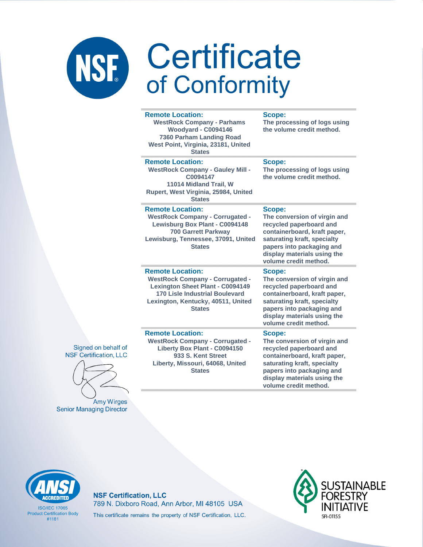#### **Remote Location: WestRock Company - Parhams Woodyard - C0094146**

**7360 Parham Landing Road West Point, Virginia, 23181, United States**

#### **Remote Location:**

**WestRock Company - Gauley Mill - C0094147 11014 Midland Trail, W Rupert, West Virginia, 25984, United States**

#### **Remote Location:**

**WestRock Company - Corrugated - Lewisburg Box Plant - C0094148 700 Garrett Parkway Lewisburg, Tennessee, 37091, United States**

### **Scope:**

**Scope:**

**The processing of logs using the volume credit method.**

**The processing of logs using the volume credit method.**

#### **Scope:**

**The conversion of virgin and recycled paperboard and containerboard, kraft paper, saturating kraft, specialty papers into packaging and display materials using the volume credit method.**

#### **Remote Location:**

**WestRock Company - Corrugated - Lexington Sheet Plant - C0094149 170 Lisle Industrial Boulevard Lexington, Kentucky, 40511, United States**

#### **Scope:**

**The conversion of virgin and recycled paperboard and containerboard, kraft paper, saturating kraft, specialty papers into packaging and display materials using the volume credit method.**

#### Signed on behalf of **NSF Certification, LLC**



**Amy Wirges Senior Managing Director** 

#### **Remote Location:**

**WestRock Company - Corrugated - Liberty Box Plant - C0094150 933 S. Kent Street Liberty, Missouri, 64068, United States**

#### **Scope:**

**The conversion of virgin and recycled paperboard and containerboard, kraft paper, saturating kraft, specialty papers into packaging and display materials using the volume credit method.**



**ISO/IFC 17065 Product Certification Body** #1181

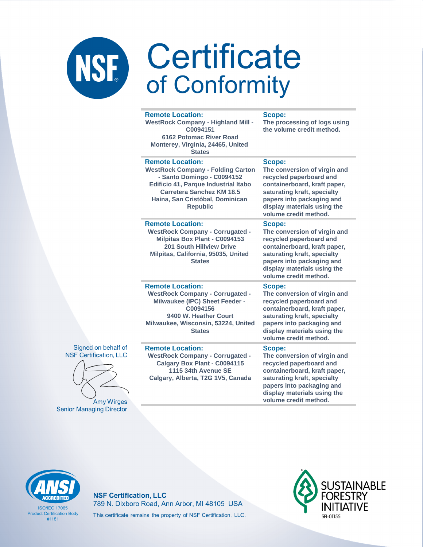| <b>Remote Location:</b><br><b>WestRock Company - Highland Mill -</b><br>C0094151<br>6162 Potomac River Road<br>Monterey, Virginia, 24465, United<br><b>States</b>                                                                          | Scope:<br>The processing of logs using<br>the volume credit method.                                                                                                                                                          |
|--------------------------------------------------------------------------------------------------------------------------------------------------------------------------------------------------------------------------------------------|------------------------------------------------------------------------------------------------------------------------------------------------------------------------------------------------------------------------------|
| <b>Remote Location:</b><br><b>WestRock Company - Folding Carton</b><br>- Santo Domingo - C0094152<br><b>Edificio 41, Parque Industrial Itabo</b><br><b>Carretera Sanchez KM 18.5</b><br>Haina, San Cristóbal, Dominican<br><b>Republic</b> | Scope:<br>The conversion of virgin and<br>recycled paperboard and<br>containerboard, kraft paper,<br>saturating kraft, specialty<br>papers into packaging and<br>display materials using the<br>volume credit method.        |
| <b>Remote Location:</b><br><b>WestRock Company - Corrugated -</b><br>Milpitas Box Plant - C0094153<br><b>201 South Hillview Drive</b><br>Milpitas, California, 95035, United<br><b>States</b>                                              | <b>Scope:</b><br>The conversion of virgin and<br>recycled paperboard and<br>containerboard, kraft paper,<br>saturating kraft, specialty<br>papers into packaging and<br>display materials using the<br>volume credit method. |
| <b>Remote Location:</b><br><b>WestRock Company - Corrugated -</b><br>Milwaukee (IPC) Sheet Feeder -<br>C0094156<br>9400 W. Heather Court<br>Milwaukee, Wisconsin, 53224, United<br><b>States</b>                                           | Scope:<br>The conversion of virgin and<br>recycled paperboard and<br>containerboard, kraft paper,<br>saturating kraft, specialty<br>papers into packaging and<br>display materials using the<br>volume credit method.        |
| <b>Remote Location:</b><br><b>WestRock Company - Corrugated -</b><br>Calgary Box Plant - C0094115<br>1115 34th Avenue SE<br>Calgary, Alberta, T2G 1V5, Canada                                                                              | <b>Scope:</b><br>The conversion of virgin and<br>recycled paperboard and<br>containerboard, kraft paper,<br>saturating kraft, specialty<br>papers into packaging and<br>disnlay materials using the                          |





Amy Wirges **Senior Managing Director** 

display materials using the volume credit method.



**ISO/IEC 17065 Product Certification Body**  $#1181$ 

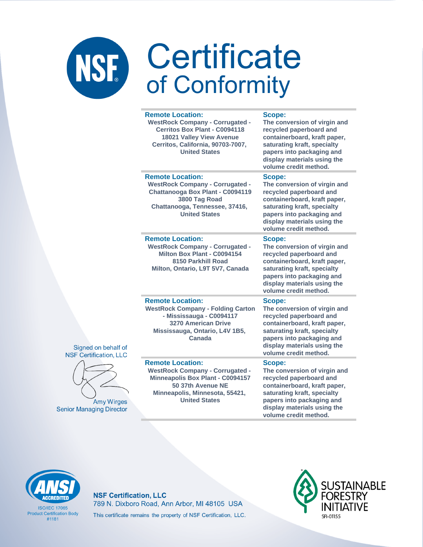|  | <b>Remote Location:</b><br><b>WestRock Company - Corrugated -</b><br><b>Cerritos Box Plant - C0094118</b><br><b>18021 Valley View Avenue</b><br>Cerritos, California, 90703-7007,<br><b>United States</b> | Scope:<br>The conversion of virgin and<br>recycled paperboard and<br>containerboard, kraft paper,<br>saturating kraft, specialty<br>papers into packaging and<br>display materials using the<br>volume credit method. |
|--|-----------------------------------------------------------------------------------------------------------------------------------------------------------------------------------------------------------|-----------------------------------------------------------------------------------------------------------------------------------------------------------------------------------------------------------------------|
|  | <b>Remote Location:</b><br><b>WestRock Company - Corrugated -</b><br>Chattanooga Box Plant - C0094119<br>3800 Tag Road<br>Chattanooga, Tennessee, 37416,<br><b>United States</b>                          | Scope:<br>The conversion of virgin and<br>recycled paperboard and<br>containerboard, kraft paper,<br>saturating kraft, specialty<br>papers into packaging and<br>display materials using the<br>volume credit method. |
|  | <b>Remote Location:</b><br><b>WestRock Company - Corrugated -</b><br>Milton Box Plant - C0094154<br>8150 Parkhill Road<br>Milton, Ontario, L9T 5V7, Canada                                                | Scope:<br>The conversion of virgin and<br>recycled paperboard and<br>containerboard, kraft paper,<br>saturating kraft, specialty<br>papers into packaging and<br>display materials using the<br>volume credit method. |
|  | <b>Remote Location:</b><br><b>WestRock Company - Folding Carton</b><br>- Mississauga - C0094117<br>3270 American Drive<br>Mississauga, Ontario, L4V 1B5,<br>Canada                                        | Scope:<br>The conversion of virgin and<br>recycled paperboard and<br>containerboard, kraft paper,<br>saturating kraft, specialty<br>papers into packaging and<br>display materials using the<br>volume credit method. |
|  | <b>Remote Location:</b><br><b>WestRock Company - Corrugated -</b><br><b>Minneapolis Box Plant - C0094157</b><br>50 37th Avenue NE<br>Minneapolis, Minnesota, 55421,<br><b>United States</b>               | Scope:<br>The conversion of virgin and<br>recycled paperboard and<br>containerboard, kraft paper,<br>saturating kraft, specialty<br>papers into packaging and<br>display materials using the<br>volume credit method. |



**Amy Wirges Senior Managing Director** 

**ISO/IFC 17065 Product Certification Body**  $#1181$ 

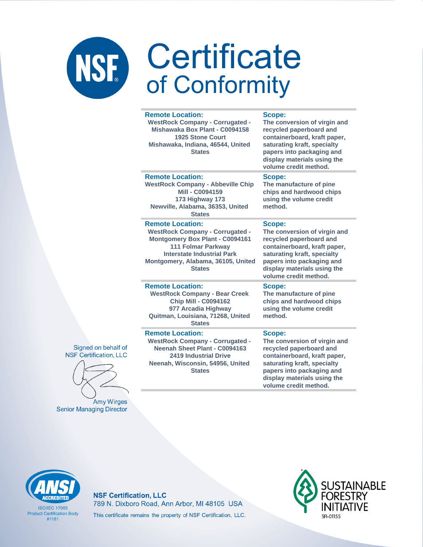#### **Remote Location:**

**WestRock Company - Corrugated - Mishawaka Box Plant - C0094158 1925 Stone Court Mishawaka, Indiana, 46544, United States**

**Scope:**

**The conversion of virgin and recycled paperboard and containerboard, kraft paper, saturating kraft, specialty papers into packaging and display materials using the volume credit method.**

#### **Remote Location:**

**WestRock Company - Abbeville Chip Mill - C0094159 173 Highway 173 Newville, Alabama, 36353, United States**

#### **Remote Location:**

**WestRock Company - Corrugated - Montgomery Box Plant - C0094161 111 Folmar Parkway Interstate Industrial Park Montgomery, Alabama, 36105, United States**

#### **Scope:**

**The manufacture of pine chips and hardwood chips using the volume credit method.**

#### **Scope:**

**Scope:**

**method.**

**The conversion of virgin and recycled paperboard and containerboard, kraft paper, saturating kraft, specialty papers into packaging and display materials using the volume credit method.**

**The manufacture of pine chips and hardwood chips using the volume credit** 

#### **Remote Location:**

**Remote Location:** 

**WestRock Company - Bear Creek Chip Mill - C0094162 977 Arcadia Highway Quitman, Louisiana, 71268, United States**

**WestRock Company - Corrugated - Neenah Sheet Plant - C0094163 2419 Industrial Drive Neenah, Wisconsin, 54956, United States**

#### **Scope: The conversion of virgin and recycled paperboard and containerboard, kraft paper, saturating kraft, specialty papers into packaging and display materials using the volume credit method.**

Signed on behalf of **NSF Certification, LLC** 



**Amy Wirges Senior Managing Director** 



**ISO/IFC 17065 Product Certification Body** #1181

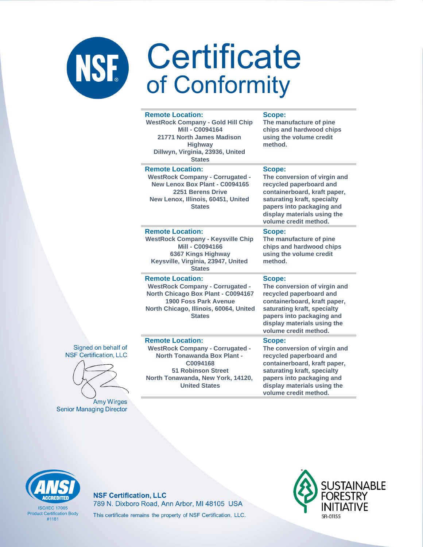#### **Remote Location: WestRock Company - Gold Hill Chip Mill - C0094164 21771 North James Madison Highway Dillwyn, Virginia, 23936, United States Scope: Remote Location:**

**WestRock Company - Corrugated - New Lenox Box Plant - C0094165 2251 Berens Drive New Lenox, Illinois, 60451, United States**

**Remote Location: WestRock Company - Keysville Chip Mill - C0094166 6367 Kings Highway Keysville, Virginia, 23947, United States**

#### **Remote Location:**

**Remote Location:** 

**WestRock Company - Corrugated - North Chicago Box Plant - C0094167 1900 Foss Park Avenue North Chicago, Illinois, 60064, United States**

**WestRock Company - Corrugated - North Tonawanda Box Plant - C0094168 51 Robinson Street North Tonawanda, New York, 14120, United States**

**The manufacture of pine chips and hardwood chips using the volume credit method.**

#### **Scope:**

**The conversion of virgin and recycled paperboard and containerboard, kraft paper, saturating kraft, specialty papers into packaging and display materials using the volume credit method.**

#### **Scope:**

**The manufacture of pine chips and hardwood chips using the volume credit method.**

### **Scope:**

**The conversion of virgin and recycled paperboard and containerboard, kraft paper, saturating kraft, specialty papers into packaging and display materials using the volume credit method.**

#### **Scope:**

**The conversion of virgin and recycled paperboard and containerboard, kraft paper, saturating kraft, specialty papers into packaging and display materials using the volume credit method.**

Signed on behalf of **NSF Certification, LLC** 



**Amy Wirges Senior Managing Director** 





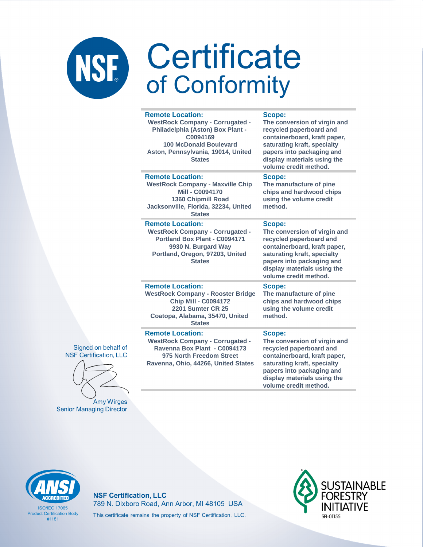|  | <b>Remote Location:</b><br><b>WestRock Company - Corrugated -</b><br>Philadelphia (Aston) Box Plant -<br>C0094169<br><b>100 McDonald Boulevard</b><br>Aston, Pennsylvania, 19014, United<br><b>States</b> | Scope:<br>The conversion of virgin and<br>recycled paperboard and<br>containerboard, kraft paper,<br>saturating kraft, specialty<br>papers into packaging and<br>display materials using the<br>volume credit method. |
|--|-----------------------------------------------------------------------------------------------------------------------------------------------------------------------------------------------------------|-----------------------------------------------------------------------------------------------------------------------------------------------------------------------------------------------------------------------|
|  | <b>Remote Location:</b><br><b>WestRock Company - Maxville Chip</b><br>Mill - C0094170<br>1360 Chipmill Road<br>Jacksonville, Florida, 32234, United<br><b>States</b>                                      | Scope:<br>The manufacture of pine<br>chips and hardwood chips<br>using the volume credit<br>method.                                                                                                                   |
|  | <b>Remote Location:</b><br><b>WestRock Company - Corrugated -</b><br>Portland Box Plant - C0094171<br>9930 N. Burgard Way<br>Portland, Oregon, 97203, United<br><b>States</b>                             | Scope:<br>The conversion of virgin and<br>recycled paperboard and<br>containerboard, kraft paper,<br>saturating kraft, specialty<br>papers into packaging and<br>display materials using the<br>volume credit method. |
|  | <b>Remote Location:</b><br><b>WestRock Company - Rooster Bridge</b><br><b>Chip Mill - C0094172</b><br><b>2201 Sumter CR 25</b><br>Coatopa, Alabama, 35470, United<br><b>States</b>                        | Scope:<br>The manufacture of pine<br>chips and hardwood chips<br>using the volume credit<br>method.                                                                                                                   |
|  | <b>Remote Location:</b><br><b>WestRock Company - Corrugated -</b><br>Ravenna Box Plant - C0094173<br>975 North Freedom Street<br>Ravenna, Ohio, 44266, United States                                      | Scope:<br>The conversion of virgin and<br>recycled paperboard and<br>containerboard, kraft paper,<br>saturating kraft, specialty<br>papers into packaging and                                                         |





Amy Wirges **Senior Managing Director** 



**ISO/IFC 17065 Product Certification Body**  $#1181$ 

#### **NSF Certification, LLC** 789 N. Dixboro Road, Ann Arbor, MI 48105 USA This certificate remains the property of NSF Certification, LLC.



display materials using the volume credit method.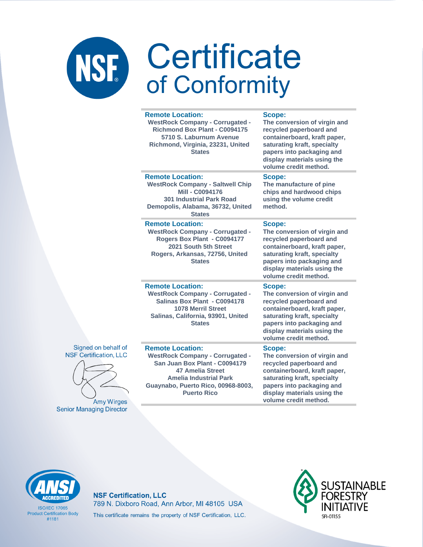| <b>Remote Location:</b><br><b>WestRock Company - Corrugated -</b><br><b>Richmond Box Plant - C0094175</b><br>5710 S. Laburnum Avenue<br>Richmond, Virginia, 23231, United<br><b>States</b>                                 | Scope:<br>The conversion of virgin and<br>recycled paperboard and<br>containerboard, kraft paper,<br>saturating kraft, specialty<br>papers into packaging and<br>display materials using the<br>volume credit method. |
|----------------------------------------------------------------------------------------------------------------------------------------------------------------------------------------------------------------------------|-----------------------------------------------------------------------------------------------------------------------------------------------------------------------------------------------------------------------|
| <b>Remote Location:</b><br><b>WestRock Company - Saltwell Chip</b><br><b>Mill - C0094176</b><br><b>301 Industrial Park Road</b><br>Demopolis, Alabama, 36732, United<br><b>States</b>                                      | Scope:<br>The manufacture of pine<br>chips and hardwood chips<br>using the volume credit<br>method.                                                                                                                   |
| <b>Remote Location:</b><br><b>WestRock Company - Corrugated -</b><br>Rogers Box Plant - C0094177<br>2021 South 5th Street<br>Rogers, Arkansas, 72756, United<br><b>States</b>                                              | Scope:<br>The conversion of virgin and<br>recycled paperboard and<br>containerboard, kraft paper,<br>saturating kraft, specialty<br>papers into packaging and<br>display materials using the<br>volume credit method. |
| <b>Remote Location:</b><br><b>WestRock Company - Corrugated -</b><br>Salinas Box Plant - C0094178<br><b>1078 Merril Street</b><br>Salinas, California, 93901, United<br><b>States</b>                                      | Scope:<br>The conversion of virgin and<br>recycled paperboard and<br>containerboard, kraft paper,<br>saturating kraft, specialty<br>papers into packaging and<br>display materials using the<br>volume credit method. |
| <b>Remote Location:</b><br><b>WestRock Company - Corrugated -</b><br>San Juan Box Plant - C0094179<br><b>47 Amelia Street</b><br><b>Amelia Industrial Park</b><br>Guaynabo, Puerto Rico, 00968-8003,<br><b>Puerto Rico</b> | Scope:<br>The conversion of virgin and<br>recycled paperboard and<br>containerboard, kraft paper,<br>saturating kraft, specialty<br>papers into packaging and<br>display materials using the<br>volume credit method. |



Signed on behalf of **NSF Certification, LLC** 

Amy Wirges

**Senior Managing Director** 

**ISO/IFC 17065 Product Certification Body**  $#1181$ 

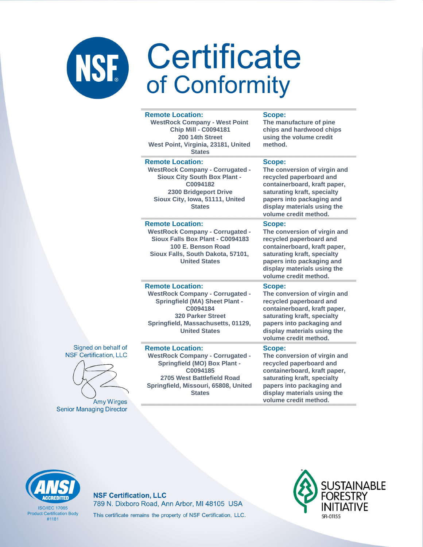| <b>Remote Location:</b><br><b>WestRock Company - West Point</b><br><b>Chip Mill - C0094181</b><br>200 14th Street<br>West Point, Virginia, 23181, United<br><b>States</b>                                        | Scope:<br>The manufacture of pine<br>chips and hardwood chips<br>using the volume credit<br>method.                                                                                                                   |
|------------------------------------------------------------------------------------------------------------------------------------------------------------------------------------------------------------------|-----------------------------------------------------------------------------------------------------------------------------------------------------------------------------------------------------------------------|
| <b>Remote Location:</b><br><b>WestRock Company - Corrugated -</b><br><b>Sioux City South Box Plant -</b><br>C0094182<br>2300 Bridgeport Drive<br>Sioux City, Iowa, 51111, United<br><b>States</b>                | Scope:<br>The conversion of virgin and<br>recycled paperboard and<br>containerboard, kraft paper,<br>saturating kraft, specialty<br>papers into packaging and<br>display materials using the<br>volume credit method. |
| <b>Remote Location:</b><br><b>WestRock Company - Corrugated -</b><br>Sioux Falls Box Plant - C0094183<br>100 E. Benson Road<br>Sioux Falls, South Dakota, 57101,<br><b>United States</b>                         | Scope:<br>The conversion of virgin and<br>recycled paperboard and<br>containerboard, kraft paper,<br>saturating kraft, specialty<br>papers into packaging and<br>display materials using the<br>volume credit method. |
| <b>Remote Location:</b><br><b>WestRock Company - Corrugated -</b><br><b>Springfield (MA) Sheet Plant -</b><br>C0094184<br><b>320 Parker Street</b><br>Springfield, Massachusetts, 01129,<br><b>United States</b> | Scope:<br>The conversion of virgin and<br>recycled paperboard and<br>containerboard, kraft paper,<br>saturating kraft, specialty<br>papers into packaging and<br>display materials using the<br>volume credit method. |
| <b>Remote Location:</b><br><b>WestRock Company - Corrugated -</b><br><b>Springfield (MO) Box Plant -</b><br>C0094185<br>2705 West Battlefield Road<br>Springfield, Missouri, 65808, United<br><b>States</b>      | Scope:<br>The conversion of virgin and<br>recycled paperboard and<br>containerboard, kraft paper,<br>saturating kraft, specialty<br>papers into packaging and<br>display materials using the                          |





Amy Wirges **Senior Managing Director** 

### **NSF Certification, LLC** 789 N. Dixboro Road, Ann Arbor, MI 48105 USA This certificate remains the property of NSF Certification, LLC.



volume credit method.

**ISO/IEC 17065 Product Certification Body**  $#1181$ 

**CCREDITEI**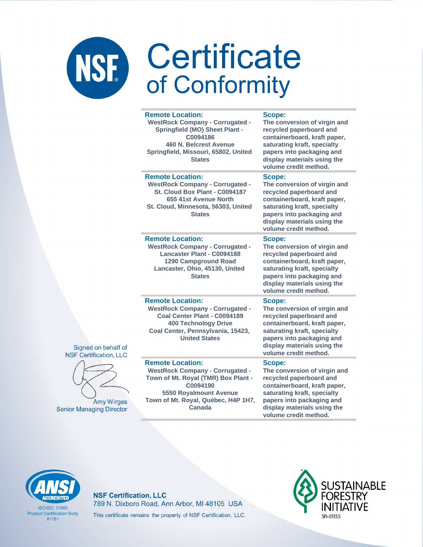|                    | <b>Remote Location:</b><br><b>WestRock Company - Corrugated -</b><br><b>Springfield (MO) Sheet Plant -</b><br>C0094186<br>460 N. Belcrest Avenue<br>Springfield, Missouri, 65802, United<br><b>States</b> | Scope:<br>The conversion of virgin and<br>recycled paperboard and<br>containerboard, kraft paper,<br>saturating kraft, specialty<br>papers into packaging and<br>display materials using the<br>volume credit method.        |
|--------------------|-----------------------------------------------------------------------------------------------------------------------------------------------------------------------------------------------------------|------------------------------------------------------------------------------------------------------------------------------------------------------------------------------------------------------------------------------|
|                    | <b>Remote Location:</b><br><b>WestRock Company - Corrugated -</b><br>St. Cloud Box Plant - C0094187<br>655 41st Avenue North<br>St. Cloud, Minnesota, 56303, United<br><b>States</b>                      | Scope:<br>The conversion of virgin and<br>recycled paperboard and<br>containerboard, kraft paper,<br>saturating kraft, specialty<br>papers into packaging and<br>display materials using the<br>volume credit method.        |
|                    | <b>Remote Location:</b><br><b>WestRock Company - Corrugated -</b><br>Lancaster Plant - C0094188<br><b>1290 Campground Road</b><br>Lancaster, Ohio, 45130, United<br><b>States</b>                         | <b>Scope:</b><br>The conversion of virgin and<br>recycled paperboard and<br>containerboard, kraft paper,<br>saturating kraft, specialty<br>papers into packaging and<br>display materials using the<br>volume credit method. |
| If of<br>LLC       | <b>Remote Location:</b><br><b>WestRock Company - Corrugated -</b><br>Coal Center Plant - C0094189<br><b>400 Technology Drive</b><br>Coal Center, Pennsylvania, 15423,<br><b>United States</b>             | Scope:<br>The conversion of virgin and<br>recycled paperboard and<br>containerboard, kraft paper,<br>saturating kraft, specialty<br>papers into packaging and<br>display materials using the<br>volume credit method.        |
| <b>ges</b><br>ctor | <b>Remote Location:</b><br><b>WestRock Company - Corrugated -</b><br>Town of Mt. Royal (TMR) Box Plant -<br>C0094190<br><b>5550 Royalmount Avenue</b><br>Town of Mt. Royal, Québec, H4P 1H7,<br>Canada    | Scope:<br>The conversion of virgin and<br>recycled paperboard and<br>containerboard, kraft paper,<br>saturating kraft, specialty<br>papers into packaging and<br>display materials using the                                 |





Amy Wir **Senior Managing Dire**  volume credit method.



**ISO/IFC 17065 Product Certification Body**  $#1181$ 

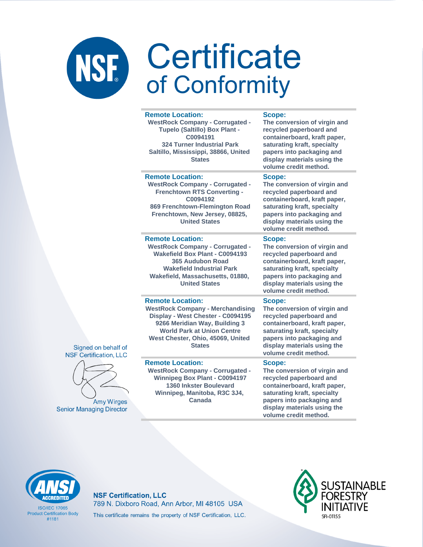#### **Remote Location: WestRock Company - Corrugated - Tupelo (Saltillo) Box Plant - C0094191 324 Turner Industrial Park Saltillo, Mississippi, 38866, United States Scope: recycled paperboard and saturating kraft, specialty papers into packaging and volume credit method. Remote Location: WestRock Company - Corrugated - Frenchtown RTS Converting - C0094192 869 Frenchtown-Flemington Road Frenchtown, New Jersey, 08825, United States Scope: The conversion of virgin and recycled paperboard and saturating kraft, specialty volume credit method. Remote Location: WestRock Company - Corrugated - Wakefield Box Plant - C0094193 365 Audubon Road Wakefield Industrial Park Wakefield, Massachusetts, 01880, United States Scope: recycled paperboard and saturating kraft, specialty volume credit method. Remote Location: WestRock Company - Merchandising Display - West Chester - C0094195 9266 Meridian Way, Building 3 World Park at Union Centre West Chester, Ohio, 45069, United States Scope: recycled paperboard and saturating kraft, specialty volume credit method. Remote Location: WestRock Company - Corrugated - Scope:**

**Winnipeg Box Plant - C0094197 1360 Inkster Boulevard Winnipeg, Manitoba, R3C 3J4, Canada**

**The conversion of virgin and containerboard, kraft paper, display materials using the** 

**containerboard, kraft paper, papers into packaging and display materials using the** 

**The conversion of virgin and containerboard, kraft paper, papers into packaging and display materials using the** 

**The conversion of virgin and containerboard, kraft paper, papers into packaging and display materials using the** 

**The conversion of virgin and recycled paperboard and containerboard, kraft paper, saturating kraft, specialty papers into packaging and display materials using the volume credit method.**



Signed on behalf of **NSF Certification, LLC** 

**Amy Wirges** 

**Senior Managing Director** 

**ISO/IEC 17065 Product Certification Body** #1181

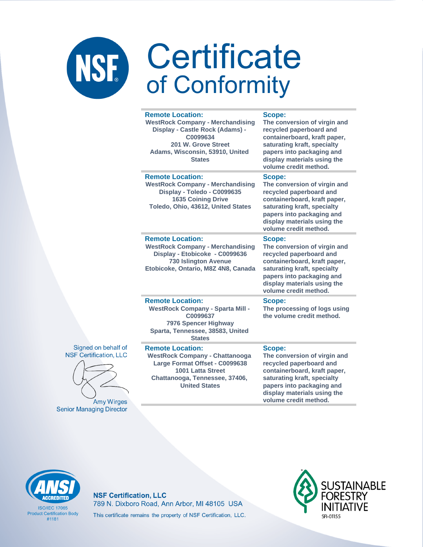| <b>Remote Location:</b><br><b>WestRock Company - Merchandising</b><br>Display - Castle Rock (Adams) -<br>C0099634<br>201 W. Grove Street<br>Adams, Wisconsin, 53910, United<br><b>States</b> | <b>Scope:</b><br>The conversion of virgin and<br>recycled paperboard and<br>containerboard, kraft paper,<br>saturating kraft, specialty<br>papers into packaging and<br>display materials using the<br>volume credit method. |
|----------------------------------------------------------------------------------------------------------------------------------------------------------------------------------------------|------------------------------------------------------------------------------------------------------------------------------------------------------------------------------------------------------------------------------|
| <b>Remote Location:</b><br><b>WestRock Company - Merchandising</b><br>Display - Toledo - C0099635<br><b>1635 Coining Drive</b><br>Toledo, Ohio, 43612, United States                         | Scope:<br>The conversion of virgin and<br>recycled paperboard and<br>containerboard, kraft paper,<br>saturating kraft, specialty<br>papers into packaging and<br>display materials using the<br>volume credit method.        |
| <b>Remote Location:</b><br><b>WestRock Company - Merchandising</b><br>Display - Etobicoke - C0099636<br><b>730 Islington Avenue</b><br>Etobicoke, Ontario, M8Z 4N8, Canada                   | Scope:<br>The conversion of virgin and<br>recycled paperboard and<br>containerboard, kraft paper,<br>saturating kraft, specialty<br>papers into packaging and<br>display materials using the<br>volume credit method.        |
| <b>Remote Location:</b><br><b>WestRock Company - Sparta Mill -</b><br>C0099637<br>7976 Spencer Highway<br>Sparta, Tennessee, 38583, United<br><b>States</b>                                  | Scope:<br>The processing of logs using<br>the volume credit method.                                                                                                                                                          |
| <b>Remote Location:</b><br><b>WestRock Company - Chattanooga</b><br>Large Format Offset - C0099638<br>1001 Latta Street<br>Chattanooga, Tennessee, 37406,<br><b>United States</b>            | Scope:<br>The conversion of virgin and<br>recycled paperboard and<br>containerboard, kraft paper,<br>saturating kraft, specialty<br>papers into packaging and<br>display materials using the<br>volume credit method.        |



Signed on behalf of

**Amy Wirges Senior Managing Director** 

**ACCREDITED** 

**ISO/IEC 17065 Product Certification Body**  $#1181$ 

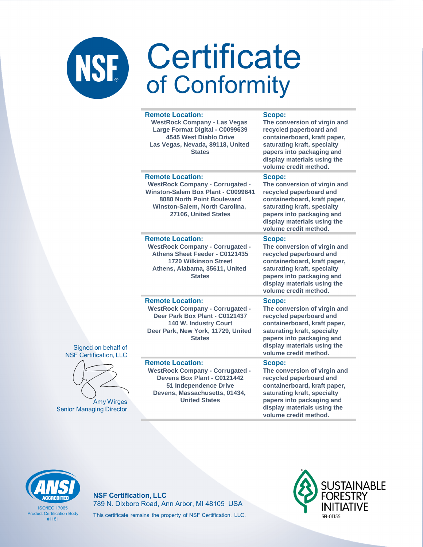|                                                      | <b>Remote Location:</b><br><b>WestRock Company - Las Vegas</b><br>Large Format Digital - C0099639<br>4545 West Diablo Drive<br>Las Vegas, Nevada, 89118, United<br><b>States</b>                | Scope:<br>The conversion of virgin and<br>recycled paperboard and<br>containerboard, kraft paper,<br>saturating kraft, specialty<br>papers into packaging and<br>display materials using the<br>volume credit method. |
|------------------------------------------------------|-------------------------------------------------------------------------------------------------------------------------------------------------------------------------------------------------|-----------------------------------------------------------------------------------------------------------------------------------------------------------------------------------------------------------------------|
|                                                      | <b>Remote Location:</b><br><b>WestRock Company - Corrugated -</b><br>Winston-Salem Box Plant - C0099641<br>8080 North Point Boulevard<br>Winston-Salem, North Carolina,<br>27106, United States | Scope:<br>The conversion of virgin and<br>recycled paperboard and<br>containerboard, kraft paper,<br>saturating kraft, specialty<br>papers into packaging and<br>display materials using the<br>volume credit method. |
|                                                      | <b>Remote Location:</b><br><b>WestRock Company - Corrugated -</b><br>Athens Sheet Feeder - C0121435<br><b>1720 Wilkinson Street</b><br>Athens, Alabama, 35611, United<br><b>States</b>          | Scope:<br>The conversion of virgin and<br>recycled paperboard and<br>containerboard, kraft paper,<br>saturating kraft, specialty<br>papers into packaging and<br>display materials using the<br>volume credit method. |
| Signed on behalf of<br><b>NSF Certification, LLC</b> | <b>Remote Location:</b><br><b>WestRock Company - Corrugated -</b><br>Deer Park Box Plant - C0121437<br>140 W. Industry Court<br>Deer Park, New York, 11729, United<br><b>States</b>             | Scope:<br>The conversion of virgin and<br>recycled paperboard and<br>containerboard, kraft paper,<br>saturating kraft, specialty<br>papers into packaging and<br>display materials using the<br>volume credit method. |
| <b>Amy Wirges</b><br><b>Senior Managing Director</b> | <b>Remote Location:</b><br><b>WestRock Company - Corrugated -</b><br>Devens Box Plant - C0121442<br>51 Independence Drive<br>Devens, Massachusetts, 01434,<br><b>United States</b>              | Scope:<br>The conversion of virgin and<br>recycled paperboard and<br>containerboard, kraft paper,<br>saturating kraft, specialty<br>papers into packaging and<br>display materials using the<br>volume credit method. |



**ISO/IFC 17065 Product Certification Body**  $#1181$ 

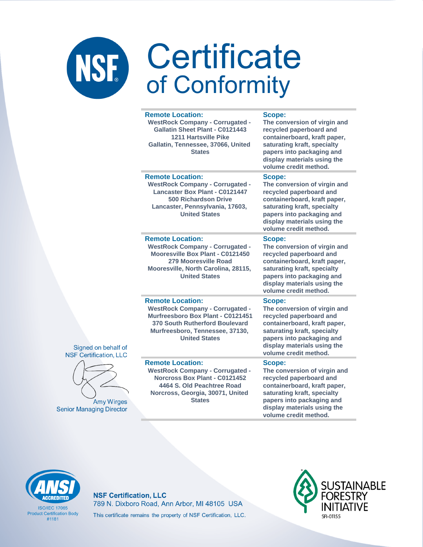| <b>Remote Location:</b><br><b>WestRock Company - Corrugated -</b><br><b>Gallatin Sheet Plant - C0121443</b><br><b>1211 Hartsville Pike</b><br>Gallatin, Tennessee, 37066, United<br><b>States</b>   | Scope:<br>The conversion of virgin and<br>recycled paperboard and<br>containerboard, kraft paper,<br>saturating kraft, specialty<br>papers into packaging and<br>display materials using the<br>volume credit method. |
|-----------------------------------------------------------------------------------------------------------------------------------------------------------------------------------------------------|-----------------------------------------------------------------------------------------------------------------------------------------------------------------------------------------------------------------------|
| <b>Remote Location:</b><br><b>WestRock Company - Corrugated -</b><br><b>Lancaster Box Plant - C0121447</b><br>500 Richardson Drive<br>Lancaster, Pennsylvania, 17603,<br><b>United States</b>       | Scope:<br>The conversion of virgin and<br>recycled paperboard and<br>containerboard, kraft paper,<br>saturating kraft, specialty<br>papers into packaging and<br>display materials using the<br>volume credit method. |
| <b>Remote Location:</b><br><b>WestRock Company - Corrugated -</b><br>Mooresville Box Plant - C0121450<br>279 Mooresville Road<br>Mooresville, North Carolina, 28115,<br><b>United States</b>        | Scope:<br>The conversion of virgin and<br>recycled paperboard and<br>containerboard, kraft paper,<br>saturating kraft, specialty<br>papers into packaging and<br>display materials using the<br>volume credit method. |
| <b>Remote Location:</b><br><b>WestRock Company - Corrugated -</b><br>Murfreesboro Box Plant - C0121451<br>370 South Rutherford Boulevard<br>Murfreesboro, Tennessee, 37130,<br><b>United States</b> | Scope:<br>The conversion of virgin and<br>recycled paperboard and<br>containerboard, kraft paper,<br>saturating kraft, specialty<br>papers into packaging and<br>display materials using the<br>volume credit method. |
| <b>Remote Location:</b><br><b>WestRock Company - Corrugated -</b><br>Norcross Box Plant - C0121452<br>4464 S. Old Peachtree Road<br>Norcross, Georgia, 30071, United<br><b>States</b>               | Scope:<br>The conversion of virgin and<br>recycled paperboard and<br>containerboard, kraft paper,<br>saturating kraft, specialty<br>papers into packaging and<br>display materials using the                          |





Amy Wirges **Senior Managing Director** 

**ISO/IFC 17065 Product Certification Body**  $#1181$ 

### **NSF Certification, LLC** 789 N. Dixboro Road, Ann Arbor, MI 48105 USA This certificate remains the property of NSF Certification, LLC.



volume credit method.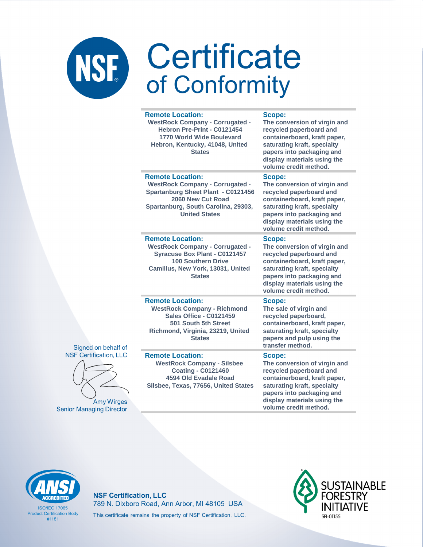|   | <b>Remote Location:</b><br><b>WestRock Company - Corrugated -</b><br>Hebron Pre-Print - C0121454<br>1770 World Wide Boulevard<br>Hebron, Kentucky, 41048, United<br><b>States</b>                  | Scope:<br>The conversion of virgin and<br>recycled paperboard and<br>containerboard, kraft paper,<br>saturating kraft, specialty<br>papers into packaging and<br>display materials using the<br>volume credit method. |
|---|----------------------------------------------------------------------------------------------------------------------------------------------------------------------------------------------------|-----------------------------------------------------------------------------------------------------------------------------------------------------------------------------------------------------------------------|
|   | <b>Remote Location:</b><br><b>WestRock Company - Corrugated -</b><br><b>Spartanburg Sheet Plant - C0121456</b><br>2060 New Cut Road<br>Spartanburg, South Carolina, 29303,<br><b>United States</b> | Scope:<br>The conversion of virgin and<br>recycled paperboard and<br>containerboard, kraft paper,<br>saturating kraft, specialty<br>papers into packaging and<br>display materials using the<br>volume credit method. |
|   | <b>Remote Location:</b><br><b>WestRock Company - Corrugated -</b><br><b>Syracuse Box Plant - C0121457</b><br><b>100 Southern Drive</b><br>Camillus, New York, 13031, United<br><b>States</b>       | Scope:<br>The conversion of virgin and<br>recycled paperboard and<br>containerboard, kraft paper,<br>saturating kraft, specialty<br>papers into packaging and<br>display materials using the<br>volume credit method. |
| f | <b>Remote Location:</b><br><b>WestRock Company - Richmond</b><br><b>Sales Office - C0121459</b><br>501 South 5th Street<br>Richmond, Virginia, 23219, United<br><b>States</b>                      | Scope:<br>The sale of virgin and<br>recycled paperboard,<br>containerboard, kraft paper,<br>saturating kraft, specialty<br>papers and pulp using the<br>transfer method.                                              |
| s | <b>Remote Location:</b><br><b>WestRock Company - Silsbee</b><br><b>Coating - C0121460</b><br>4594 Old Evadale Road<br>Silsbee, Texas, 77656, United States                                         | Scope:<br>The conversion of virgin and<br>recycled paperboard and<br>containerboard, kraft paper,<br>saturating kraft, specialty<br>papers into packaging and<br>display materials using the<br>volume credit method. |





**Amy Wirges Senior Managing Director** 

**ISO/IFC 17065 Product Certification Body**  $#1181$ 

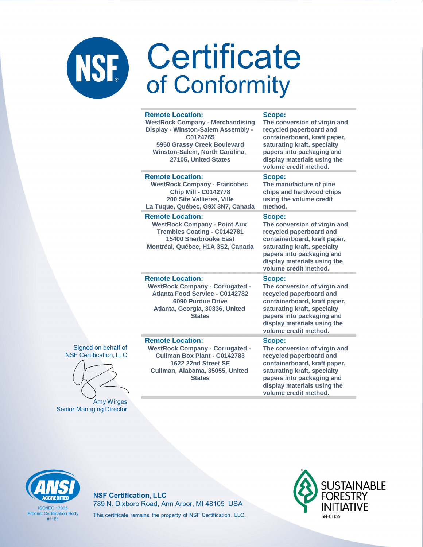|                                                     | <b>Remote Location:</b><br><b>WestRock Company - Merchandising</b><br>Display - Winston-Salem Assembly -<br>C0124765<br>5950 Grassy Creek Boulevard<br>Winston-Salem, North Carolina,<br>27105, United States | Scope:<br>The conversion of virgin and<br>recycled paperboard and<br>containerboard, kraft paper,<br>saturating kraft, specialty<br>papers into packaging and<br>display materials using the<br>volume credit method. |
|-----------------------------------------------------|---------------------------------------------------------------------------------------------------------------------------------------------------------------------------------------------------------------|-----------------------------------------------------------------------------------------------------------------------------------------------------------------------------------------------------------------------|
|                                                     | <b>Remote Location:</b><br><b>WestRock Company - Francobec</b><br><b>Chip Mill - C0142778</b><br>200 Site Vallieres, Ville<br>La Tuque, Québec, G9X 3N7, Canada                                               | Scope:<br>The manufacture of pine<br>chips and hardwood chips<br>using the volume credit<br>method.                                                                                                                   |
|                                                     | <b>Remote Location:</b><br><b>WestRock Company - Point Aux</b><br><b>Trembles Coating - C0142781</b><br>15400 Sherbrooke East<br>Montréal, Québec, H1A 3S2, Canada                                            | Scope:<br>The conversion of virgin and<br>recycled paperboard and<br>containerboard, kraft paper,<br>saturating kraft, specialty<br>papers into packaging and<br>display materials using the<br>volume credit method. |
|                                                     | <b>Remote Location:</b><br><b>WestRock Company - Corrugated -</b><br><b>Atlanta Food Service - C0142782</b><br><b>6090 Purdue Drive</b><br>Atlanta, Georgia, 30336, United<br><b>States</b>                   | Scope:<br>The conversion of virgin and<br>recycled paperboard and<br>containerboard, kraft paper,<br>saturating kraft, specialty<br>papers into packaging and<br>display materials using the<br>volume credit method. |
| Signed on behalf of<br><b>SF Certification, LLC</b> | <b>Remote Location:</b><br><b>WestRock Company - Corrugated -</b><br>Cullman Box Plant - C0142783<br>1622 22nd Street SE<br>Cullman, Alabama, 35055, United<br><b>States</b>                                  | Scope:<br>The conversion of virgin and<br>recycled paperboard and<br>containerboard, kraft paper,<br>saturating kraft, specialty<br>papers into packaging and                                                         |



Amy Wirges **Senior Managing Director** 

**ISO/IFC 17065 Product Certification Body** 

 $#1181$ 

**NSF Certification, LLC** 789 N. Dixboro Road, Ann Arbor, MI 48105 USA This certificate remains the property of NSF Certification, LLC.



display materials using the volume credit method.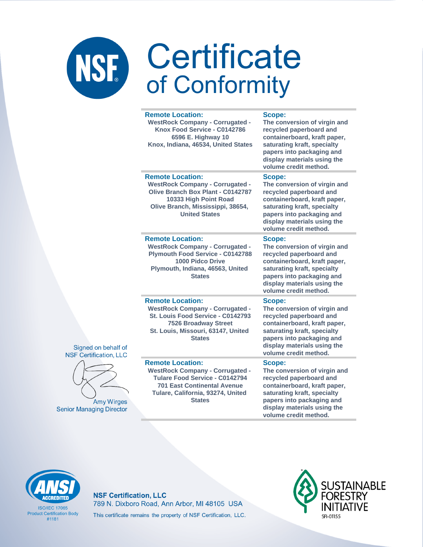| <b>Remote Location:</b><br><b>WestRock Company - Corrugated -</b><br>Knox Food Service - C0142786<br>6596 E. Highway 10<br>Knox, Indiana, 46534, United States                                  | Scope:<br>The conversion of virgin and<br>recycled paperboard and<br>containerboard, kraft paper,<br>saturating kraft, specialty<br>papers into packaging and<br>display materials using the<br>volume credit method. |  |
|-------------------------------------------------------------------------------------------------------------------------------------------------------------------------------------------------|-----------------------------------------------------------------------------------------------------------------------------------------------------------------------------------------------------------------------|--|
| <b>Remote Location:</b><br><b>WestRock Company - Corrugated -</b><br>Olive Branch Box Plant - C0142787<br>10333 High Point Road<br>Olive Branch, Mississippi, 38654,<br><b>United States</b>    | Scope:<br>The conversion of virgin and<br>recycled paperboard and<br>containerboard, kraft paper,<br>saturating kraft, specialty<br>papers into packaging and<br>display materials using the<br>volume credit method. |  |
| <b>Remote Location:</b><br><b>WestRock Company - Corrugated -</b><br><b>Plymouth Food Service - C0142788</b><br>1000 Pidco Drive<br>Plymouth, Indiana, 46563, United<br><b>States</b>           | Scope:<br>The conversion of virgin and<br>recycled paperboard and<br>containerboard, kraft paper,<br>saturating kraft, specialty<br>papers into packaging and<br>display materials using the<br>volume credit method. |  |
| <b>Remote Location:</b><br><b>WestRock Company - Corrugated -</b><br>St. Louis Food Service - C0142793<br><b>7526 Broadway Street</b><br>St. Louis, Missouri, 63147, United<br><b>States</b>    | Scope:<br>The conversion of virgin and<br>recycled paperboard and<br>containerboard, kraft paper,<br>saturating kraft, specialty<br>papers into packaging and<br>display materials using the<br>volume credit method. |  |
| <b>Remote Location:</b><br><b>WestRock Company - Corrugated -</b><br>Tulare Food Service - C0142794<br><b>701 East Continental Avenue</b><br>Tulare, California, 93274, United<br><b>States</b> | Scope:<br>The conversion of virgin and<br>recycled paperboard and<br>containerboard, kraft paper,<br>saturating kraft, specialty<br>papers into packaging and<br>display materials using the<br>volume credit method. |  |





**Amy Wirges Senior Managing Director** 

**ISO/IFC 17065 Product Certification Body**  $#1181$ 

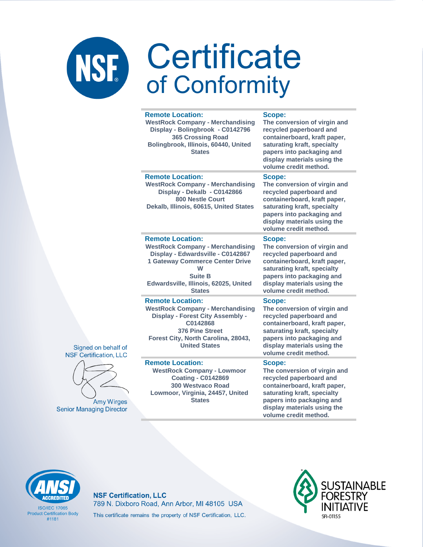| <b>Remote Location:</b><br><b>WestRock Company - Merchandising</b><br>Display - Bolingbrook - C0142796<br>365 Crossing Road<br>Bolingbrook, Illinois, 60440, United<br><b>States</b>                                               | Scope:<br>The conversion of virgin and<br>recycled paperboard and<br>containerboard, kraft paper,<br>saturating kraft, specialty<br>papers into packaging and<br>display materials using the<br>volume credit method. |
|------------------------------------------------------------------------------------------------------------------------------------------------------------------------------------------------------------------------------------|-----------------------------------------------------------------------------------------------------------------------------------------------------------------------------------------------------------------------|
| <b>Remote Location:</b><br><b>WestRock Company - Merchandising</b><br>Display - Dekalb - C0142866<br><b>800 Nestle Court</b><br>Dekalb, Illinois, 60615, United States                                                             | Scope:<br>The conversion of virgin and<br>recycled paperboard and<br>containerboard, kraft paper,<br>saturating kraft, specialty<br>papers into packaging and<br>display materials using the<br>volume credit method. |
| <b>Remote Location:</b><br><b>WestRock Company - Merchandising</b><br>Display - Edwardsville - C0142867<br><b>1 Gateway Commerce Center Drive</b><br>W<br><b>Suite B</b><br>Edwardsville, Illinois, 62025, United<br><b>States</b> | Scope:<br>The conversion of virgin and<br>recycled paperboard and<br>containerboard, kraft paper,<br>saturating kraft, specialty<br>papers into packaging and<br>display materials using the<br>volume credit method. |
| <b>Remote Location:</b><br><b>WestRock Company - Merchandising</b><br><b>Display - Forest City Assembly -</b><br>C0142868<br>376 Pine Street<br>Forest City, North Carolina, 28043,<br><b>United States</b>                        | Scope:<br>The conversion of virgin and<br>recycled paperboard and<br>containerboard, kraft paper,<br>saturating kraft, specialty<br>papers into packaging and<br>display materials using the<br>volume credit method. |
| <b>Remote Location:</b><br><b>WestRock Company - Lowmoor</b><br><b>Coating - C0142869</b><br><b>300 Westvaco Road</b><br>Lowmoor, Virginia, 24457, United<br><b>States</b>                                                         | Scope:<br>The conversion of virgin and<br>recycled paperboard and<br>containerboard, kraft paper,<br>saturating kraft, specialty<br>papers into packaging and<br>display materials using the                          |





Amy Wirges **Senior Managing Director** 

# **CCREDITED**

**ISO/IFC 17065 Product Certification Body**  $#1181$ 

### **NSF Certification, LLC** 789 N. Dixboro Road, Ann Arbor, MI 48105 USA This certificate remains the property of NSF Certification, LLC.



volume credit method.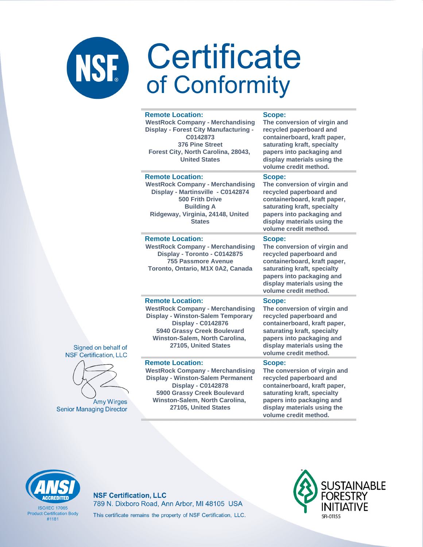#### **Remote Location: WestRock Company - Merchandising Display - Forest City Manufacturing - C0142873 376 Pine Street Forest City, North Carolina, 28043, United States Scope: The conversion of virgin and recycled paperboard and containerboard, kraft paper, saturating kraft, specialty papers into packaging and display materials using the volume credit method. Remote Location: WestRock Company - Merchandising Display - Martinsville - C0142874 500 Frith Drive Building A Ridgeway, Virginia, 24148, United States Scope: The conversion of virgin and recycled paperboard and containerboard, kraft paper, saturating kraft, specialty papers into packaging and display materials using the volume credit method. Remote Location: WestRock Company - Merchandising Display - Toronto - C0142875 755 Passmore Avenue Toronto, Ontario, M1X 0A2, Canada Scope: The conversion of virgin and recycled paperboard and containerboard, kraft paper, saturating kraft, specialty papers into packaging and display materials using the volume credit method. Remote Location: WestRock Company - Merchandising Display - Winston-Salem Temporary Display - C0142876 5940 Grassy Creek Boulevard Winston-Salem, North Carolina, 27105, United States Scope: The conversion of virgin and recycled paperboard and containerboard, kraft paper, saturating kraft, specialty papers into packaging and display materials using the volume credit method.**

#### **Remote Location:**

Signed on behalf of **NSF Certification, LLC** 

**Amy Wirges** 

**Senior Managing Director** 

**WestRock Company - Merchandising Display - Winston-Salem Permanent Display - C0142878 5900 Grassy Creek Boulevard Winston-Salem, North Carolina, 27105, United States**

#### **Scope:**

**The conversion of virgin and recycled paperboard and containerboard, kraft paper, saturating kraft, specialty papers into packaging and display materials using the volume credit method.**



**ISO/IEC 17065 Product Certification Body** #1181

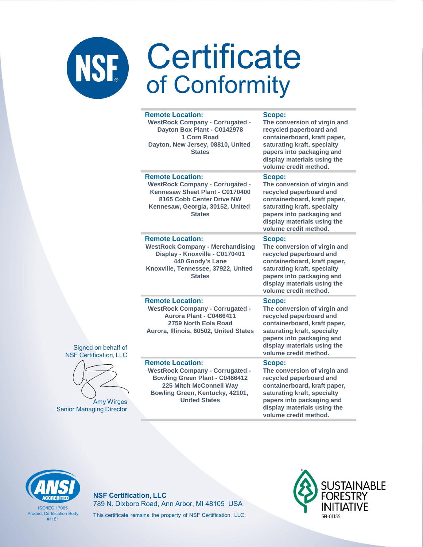| <b>Remote Location:</b><br><b>WestRock Company - Corrugated -</b><br>Dayton Box Plant - C0142978<br>1 Corn Road<br>Dayton, New Jersey, 08810, United<br><b>States</b>                                   | Scope:<br>The conversion of virgin and<br>recycled paperboard and<br>containerboard, kraft paper,<br>saturating kraft, specialty<br>papers into packaging and<br>display materials using the<br>volume credit method. |
|---------------------------------------------------------------------------------------------------------------------------------------------------------------------------------------------------------|-----------------------------------------------------------------------------------------------------------------------------------------------------------------------------------------------------------------------|
| <b>Remote Location:</b><br><b>WestRock Company - Corrugated -</b><br>Kennesaw Sheet Plant - C0170400<br>8165 Cobb Center Drive NW<br>Kennesaw, Georgia, 30152, United<br><b>States</b>                  | Scope:<br>The conversion of virgin and<br>recycled paperboard and<br>containerboard, kraft paper,<br>saturating kraft, specialty<br>papers into packaging and<br>display materials using the<br>volume credit method. |
| <b>Remote Location:</b><br><b>WestRock Company - Merchandising</b><br>Display - Knoxville - C0170401<br>440 Goody's Lane<br>Knoxville, Tennessee, 37922, United<br><b>States</b>                        | Scope:<br>The conversion of virgin and<br>recycled paperboard and<br>containerboard, kraft paper,<br>saturating kraft, specialty<br>papers into packaging and<br>display materials using the<br>volume credit method. |
| <b>Remote Location:</b><br><b>WestRock Company - Corrugated -</b><br>Aurora Plant - C0466411<br>2759 North Eola Road<br>Aurora, Illinois, 60502, United States                                          | Scope:<br>The conversion of virgin and<br>recycled paperboard and<br>containerboard, kraft paper,<br>saturating kraft, specialty<br>papers into packaging and<br>display materials using the<br>volume credit method. |
| <b>Remote Location:</b><br><b>WestRock Company - Corrugated -</b><br><b>Bowling Green Plant - C0466412</b><br><b>225 Mitch McConnell Way</b><br>Bowling Green, Kentucky, 42101,<br><b>United States</b> | Scope:<br>The conversion of virgin and<br>recycled paperboard and<br>containerboard, kraft paper,<br>saturating kraft, specialty<br>papers into packaging and<br>display materials using the                          |





**Amy Wirges Senior Managing Director**  volume credit method.



**ISO/IFC 17065 Product Certification Body**  $#1181$ 

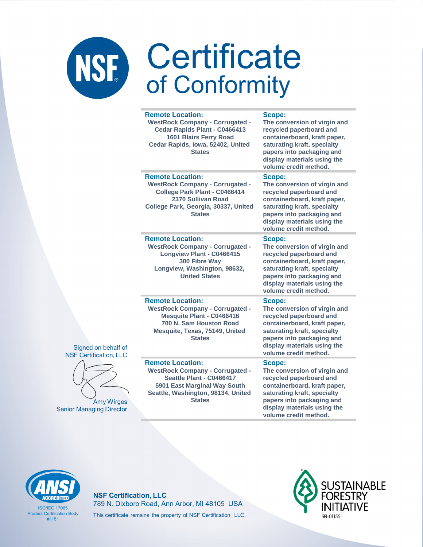| <b>Remote Location:</b><br><b>WestRock Company - Corrugated -</b><br>Cedar Rapids Plant - C0466413<br>1601 Blairs Ferry Road<br>Cedar Rapids, Iowa, 52402, United<br><b>States</b>   | Scope:<br>The conversion of virgin and<br>recycled paperboard and<br>containerboard, kraft paper,<br>saturating kraft, specialty<br>papers into packaging and<br>display materials using the<br>volume credit method. |
|--------------------------------------------------------------------------------------------------------------------------------------------------------------------------------------|-----------------------------------------------------------------------------------------------------------------------------------------------------------------------------------------------------------------------|
| <b>Remote Location:</b><br><b>WestRock Company - Corrugated -</b><br>College Park Plant - C0466414<br>2370 Sullivan Road<br>College Park, Georgia, 30337, United<br><b>States</b>    | Scope:<br>The conversion of virgin and<br>recycled paperboard and<br>containerboard, kraft paper,<br>saturating kraft, specialty<br>papers into packaging and<br>display materials using the<br>volume credit method. |
| <b>Remote Location:</b><br><b>WestRock Company - Corrugated -</b><br>Longview Plant - C0466415<br>300 Fibre Way<br>Longview, Washington, 98632,<br><b>United States</b>              | Scope:<br>The conversion of virgin and<br>recycled paperboard and<br>containerboard, kraft paper,<br>saturating kraft, specialty<br>papers into packaging and<br>display materials using the<br>volume credit method. |
| <b>Remote Location:</b><br><b>WestRock Company - Corrugated -</b><br><b>Mesquite Plant - C0466416</b><br>700 N. Sam Houston Road<br>Mesquite, Texas, 75149, United<br><b>States</b>  | Scope:<br>The conversion of virgin and<br>recycled paperboard and<br>containerboard, kraft paper,<br>saturating kraft, specialty<br>papers into packaging and<br>display materials using the<br>volume credit method. |
| <b>Remote Location:</b><br><b>WestRock Company - Corrugated -</b><br>Seattle Plant - C0466417<br>5901 East Marginal Way South<br>Seattle, Washington, 98134, United<br><b>States</b> | Scope:<br>The conversion of virgin and<br>recycled paperboard and<br>containerboard, kraft paper,<br>saturating kraft, specialty<br>papers into packaging and<br>display materials using the<br>volume credit method. |





**Amy Wirges Senior Managing Director** 

**ISO/IFC 17065 Product Certification Body**  $#1181$ 

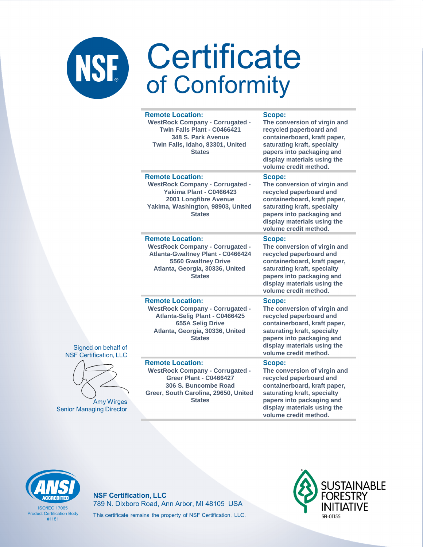|   | <b>Remote Location:</b><br><b>WestRock Company - Corrugated -</b><br>Twin Falls Plant - C0466421<br>348 S. Park Avenue<br>Twin Falls, Idaho, 83301, United<br><b>States</b>              | Scope:<br>The conversion of virgin and<br>recycled paperboard and<br>containerboard, kraft paper,<br>saturating kraft, specialty<br>papers into packaging and<br>display materials using the<br>volume credit method. |
|---|------------------------------------------------------------------------------------------------------------------------------------------------------------------------------------------|-----------------------------------------------------------------------------------------------------------------------------------------------------------------------------------------------------------------------|
|   | <b>Remote Location:</b><br><b>WestRock Company - Corrugated -</b><br>Yakima Plant - C0466423<br>2001 Longfibre Avenue<br>Yakima, Washington, 98903, United<br><b>States</b>              | Scope:<br>The conversion of virgin and<br>recycled paperboard and<br>containerboard, kraft paper,<br>saturating kraft, specialty<br>papers into packaging and<br>display materials using the<br>volume credit method. |
|   | <b>Remote Location:</b><br><b>WestRock Company - Corrugated -</b><br><b>Atlanta-Gwaltney Plant - C0466424</b><br>5560 Gwaltney Drive<br>Atlanta, Georgia, 30336, United<br><b>States</b> | Scope:<br>The conversion of virgin and<br>recycled paperboard and<br>containerboard, kraft paper,<br>saturating kraft, specialty<br>papers into packaging and<br>display materials using the<br>volume credit method. |
| f | <b>Remote Location:</b><br><b>WestRock Company - Corrugated -</b><br>Atlanta-Selig Plant - C0466425<br><b>655A Selig Drive</b><br>Atlanta, Georgia, 30336, United<br><b>States</b>       | Scope:<br>The conversion of virgin and<br>recycled paperboard and<br>containerboard, kraft paper,<br>saturating kraft, specialty<br>papers into packaging and<br>display materials using the<br>volume credit method. |
|   | <b>Remote Location:</b><br><b>WestRock Company - Corrugated -</b><br>Greer Plant - C0466427<br>306 S. Buncombe Road<br>Greer, South Carolina, 29650, United<br><b>States</b>             | Scope:<br>The conversion of virgin and<br>recycled paperboard and<br>containerboard, kraft paper,<br>saturating kraft, specialty<br>papers into packaging and<br>display materials using the<br>volume credit method. |





**Amy Wirges Senior Managing Director** 

**ISO/IFC 17065 Product Certification Body**  $#1181$ 

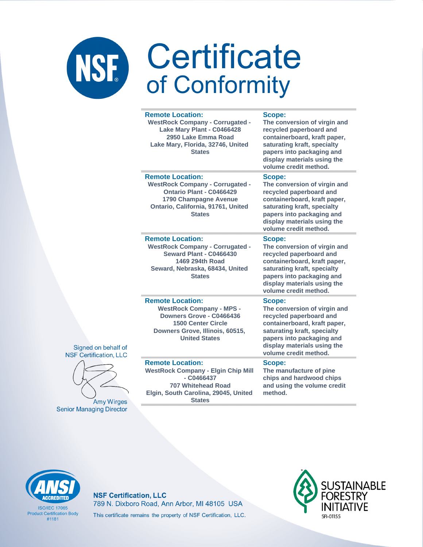| <b>Remote Location:</b><br>Scope:<br><b>WestRock Company - Corrugated -</b><br>The conversion of virgin and<br>Lake Mary Plant - C0466428<br>recycled paperboard and<br>2950 Lake Emma Road<br>containerboard, kraft paper,<br>saturating kraft, specialty<br>Lake Mary, Florida, 32746, United<br>papers into packaging and<br><b>States</b><br>display materials using the<br>volume credit method.<br><b>Remote Location:</b><br>Scope:<br><b>WestRock Company - Corrugated -</b><br>The conversion of virgin and<br>Ontario Plant - C0466429<br>recycled paperboard and<br>containerboard, kraft paper,<br>1790 Champagne Avenue<br>Ontario, California, 91761, United<br>saturating kraft, specialty<br><b>States</b><br>papers into packaging and<br>display materials using the<br>volume credit method.<br><b>Remote Location:</b><br>Scope:<br><b>WestRock Company - Corrugated -</b><br>The conversion of virgin and<br><b>Seward Plant - C0466430</b><br>recycled paperboard and<br>1469 294th Road<br>containerboard, kraft paper,<br>Seward, Nebraska, 68434, United<br>saturating kraft, specialty<br>papers into packaging and<br><b>States</b><br>display materials using the<br>volume credit method.<br><b>Remote Location:</b><br>Scope:<br><b>WestRock Company - MPS -</b><br>The conversion of virgin and<br>Downers Grove - C0466436<br>recycled paperboard and<br>containerboard, kraft paper,<br><b>1500 Center Circle</b><br>saturating kraft, specialty<br>Downers Grove, Illinois, 60515,<br>papers into packaging and<br><b>United States</b><br>display materials using the<br>volume credit method.<br><b>Remote Location:</b><br>Scope:<br><b>WestRock Company - Elgin Chip Mill</b><br>The manufacture of pine<br>$ C0466437$<br>chips and hardwood chips<br>and using the volume credit<br>707 Whitehead Road<br>Elgin, South Carolina, 29045, United<br>method.<br><b>States</b> |  |  |
|--------------------------------------------------------------------------------------------------------------------------------------------------------------------------------------------------------------------------------------------------------------------------------------------------------------------------------------------------------------------------------------------------------------------------------------------------------------------------------------------------------------------------------------------------------------------------------------------------------------------------------------------------------------------------------------------------------------------------------------------------------------------------------------------------------------------------------------------------------------------------------------------------------------------------------------------------------------------------------------------------------------------------------------------------------------------------------------------------------------------------------------------------------------------------------------------------------------------------------------------------------------------------------------------------------------------------------------------------------------------------------------------------------------------------------------------------------------------------------------------------------------------------------------------------------------------------------------------------------------------------------------------------------------------------------------------------------------------------------------------------------------------------------------------------------------------------------------------------------------------------------------------------------------------|--|--|
|                                                                                                                                                                                                                                                                                                                                                                                                                                                                                                                                                                                                                                                                                                                                                                                                                                                                                                                                                                                                                                                                                                                                                                                                                                                                                                                                                                                                                                                                                                                                                                                                                                                                                                                                                                                                                                                                                                                    |  |  |
|                                                                                                                                                                                                                                                                                                                                                                                                                                                                                                                                                                                                                                                                                                                                                                                                                                                                                                                                                                                                                                                                                                                                                                                                                                                                                                                                                                                                                                                                                                                                                                                                                                                                                                                                                                                                                                                                                                                    |  |  |
|                                                                                                                                                                                                                                                                                                                                                                                                                                                                                                                                                                                                                                                                                                                                                                                                                                                                                                                                                                                                                                                                                                                                                                                                                                                                                                                                                                                                                                                                                                                                                                                                                                                                                                                                                                                                                                                                                                                    |  |  |
|                                                                                                                                                                                                                                                                                                                                                                                                                                                                                                                                                                                                                                                                                                                                                                                                                                                                                                                                                                                                                                                                                                                                                                                                                                                                                                                                                                                                                                                                                                                                                                                                                                                                                                                                                                                                                                                                                                                    |  |  |
|                                                                                                                                                                                                                                                                                                                                                                                                                                                                                                                                                                                                                                                                                                                                                                                                                                                                                                                                                                                                                                                                                                                                                                                                                                                                                                                                                                                                                                                                                                                                                                                                                                                                                                                                                                                                                                                                                                                    |  |  |





Amy Wirges **Senior Managing Director** 



**ISO/IEC 17065 Product Certification Body**  $#1181$ 

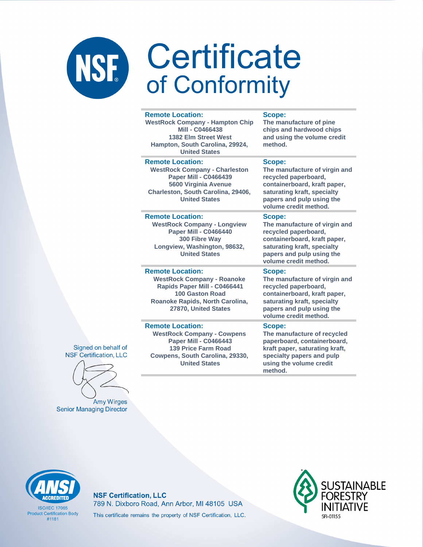#### **Remote Location:**

**WestRock Company - Hampton Chip Mill - C0466438 1382 Elm Street West Hampton, South Carolina, 29924, United States**

#### **Remote Location:**

**WestRock Company - Charleston Paper Mill - C0466439 5600 Virginia Avenue Charleston, South Carolina, 29406, United States**

#### **Remote Location:**

**WestRock Company - Longview Paper Mill - C0466440 300 Fibre Way Longview, Washington, 98632, United States**

#### **Remote Location:**

**WestRock Company - Roanoke Rapids Paper Mill - C0466441 100 Gaston Road Roanoke Rapids, North Carolina, 27870, United States**

#### **Remote Location:**

**WestRock Company - Cowpens Paper Mill - C0466443 139 Price Farm Road Cowpens, South Carolina, 29330, United States**

#### **Scope:**

**The manufacture of pine chips and hardwood chips and using the volume credit method.**

#### **Scope:**

**The manufacture of virgin and recycled paperboard, containerboard, kraft paper, saturating kraft, specialty papers and pulp using the volume credit method.**

#### **Scope:**

**The manufacture of virgin and recycled paperboard, containerboard, kraft paper, saturating kraft, specialty papers and pulp using the volume credit method.**

#### **Scope:**

**The manufacture of virgin and recycled paperboard, containerboard, kraft paper, saturating kraft, specialty papers and pulp using the volume credit method.**

#### **Scope:**

**The manufacture of recycled paperboard, containerboard, kraft paper, saturating kraft, specialty papers and pulp using the volume credit method.**





**Senior Managing Director** 



**ISO/IFC 17065 Product Certification Body** #1181

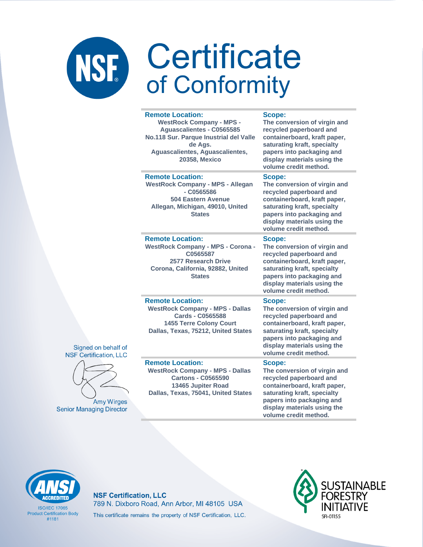#### **Remote Location: WestRock Company - MPS - Aguascalientes - C0565585 No.118 Sur. Parque Inustrial del Valle de Ags. Aguascalientes, Aguascalientes, 20358, Mexico**

**Remote Location: WestRock Company - MPS - Allegan - C0565586 504 Eastern Avenue Allegan, Michigan, 49010, United** 

**States**

**WestRock Company - MPS - Corona - C0565587 2577 Research Drive Corona, California, 92882, United States**

**Scope:**

**The conversion of virgin and recycled paperboard and containerboard, kraft paper, saturating kraft, specialty papers into packaging and display materials using the volume credit method.**

#### **Scope:**

**The conversion of virgin and recycled paperboard and containerboard, kraft paper, saturating kraft, specialty papers into packaging and display materials using the volume credit method.**

#### **Scope:**

**The conversion of virgin and recycled paperboard and containerboard, kraft paper, saturating kraft, specialty papers into packaging and display materials using the volume credit method.**

**The conversion of virgin and recycled paperboard and containerboard, kraft paper, saturating kraft, specialty** 

#### **Remote Location:**

**Remote Location:** 

**WestRock Company - MPS - Dallas Cards - C0565588 1455 Terre Colony Court Dallas, Texas, 75212, United States**

Signed on behalf of **NSF Certification, LLC** 

**Amy Wirges** 

**Senior Managing Director** 

**Remote Location: WestRock Company - MPS - Dallas Cartons - C0565590 13465 Jupiter Road Dallas, Texas, 75041, United States**

#### **papers into packaging and display materials using the**

**Scope:**

**volume credit method. Scope: The conversion of virgin and** 

**recycled paperboard and containerboard, kraft paper, saturating kraft, specialty papers into packaging and display materials using the volume credit method.**



**ISO/IFC 17065 Product Certification Body** #1181

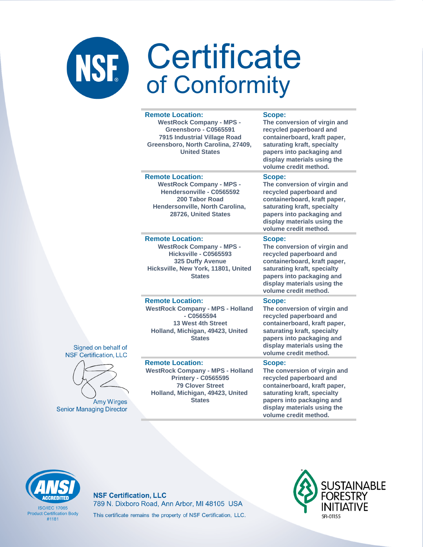#### **Remote Location:**

**WestRock Company - MPS - Greensboro - C0565591 7915 Industrial Village Road Greensboro, North Carolina, 27409, United States**

### **Remote Location:**

**WestRock Company - MPS - Hendersonville - C0565592 200 Tabor Road Hendersonville, North Carolina, 28726, United States**

#### **Remote Location:**

**WestRock Company - MPS - Hicksville - C0565593 325 Duffy Avenue Hicksville, New York, 11801, United States**

#### **Scope:**

**The conversion of virgin and recycled paperboard and containerboard, kraft paper, saturating kraft, specialty papers into packaging and display materials using the volume credit method.**

#### **Scope:**

**The conversion of virgin and recycled paperboard and containerboard, kraft paper, saturating kraft, specialty papers into packaging and display materials using the volume credit method.**

#### **Scope:**

**The conversion of virgin and recycled paperboard and containerboard, kraft paper, saturating kraft, specialty papers into packaging and display materials using the volume credit method.**

#### **Remote Location:**

**WestRock Company - MPS - Holland - C0565594 13 West 4th Street Holland, Michigan, 49423, United States**

#### **Remote Location:**

Signed on behalf of **NSF Certification, LLC** 

**Amy Wirges** 

**Senior Managing Director** 

**WestRock Company - MPS - Holland Printery - C0565595 79 Clover Street Holland, Michigan, 49423, United States**

#### **Scope:**

**The conversion of virgin and recycled paperboard and containerboard, kraft paper, saturating kraft, specialty papers into packaging and display materials using the volume credit method.**

#### **Scope:**

**The conversion of virgin and recycled paperboard and containerboard, kraft paper, saturating kraft, specialty papers into packaging and display materials using the volume credit method.**



**ISO/IFC 17065 Product Certification Body** #1181

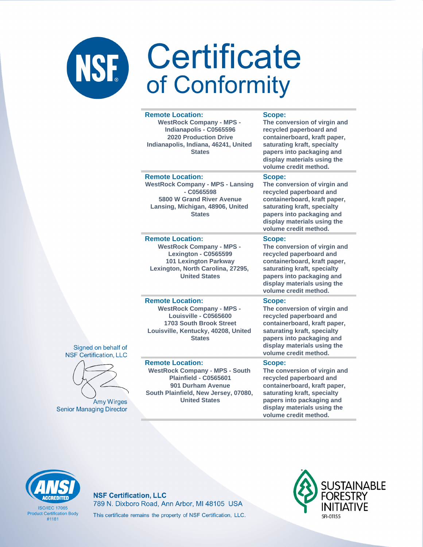#### **Remote Location:**

**WestRock Company - MPS - Indianapolis - C0565596 2020 Production Drive Indianapolis, Indiana, 46241, United States**

#### **Scope:**

**The conversion of virgin and recycled paperboard and containerboard, kraft paper, saturating kraft, specialty papers into packaging and display materials using the volume credit method.**

#### **Remote Location:**

**WestRock Company - MPS - Lansing - C0565598 5800 W Grand River Avenue Lansing, Michigan, 48906, United States**

#### **Remote Location:**

**WestRock Company - MPS - Lexington - C0565599 101 Lexington Parkway Lexington, North Carolina, 27295, United States**

#### **Scope:**

**The conversion of virgin and recycled paperboard and containerboard, kraft paper, saturating kraft, specialty papers into packaging and display materials using the volume credit method.**

#### **Scope:**

**The conversion of virgin and recycled paperboard and containerboard, kraft paper, saturating kraft, specialty papers into packaging and display materials using the volume credit method.**

#### **Remote Location:**

**WestRock Company - MPS - Louisville - C0565600 1703 South Brook Street Louisville, Kentucky, 40208, United States**

#### **Remote Location:**

Signed on behalf of **NSF Certification, LLC** 

**Amy Wirges** 

**Senior Managing Director** 

**WestRock Company - MPS - South Plainfield - C0565601 901 Durham Avenue South Plainfield, New Jersey, 07080, United States**

### **Scope: The conversion of virgin and**

**recycled paperboard and containerboard, kraft paper, saturating kraft, specialty papers into packaging and display materials using the volume credit method.**

#### **Scope:**

**The conversion of virgin and recycled paperboard and containerboard, kraft paper, saturating kraft, specialty papers into packaging and display materials using the volume credit method.**



**ISO/IFC 17065 Product Certification Body** #1181

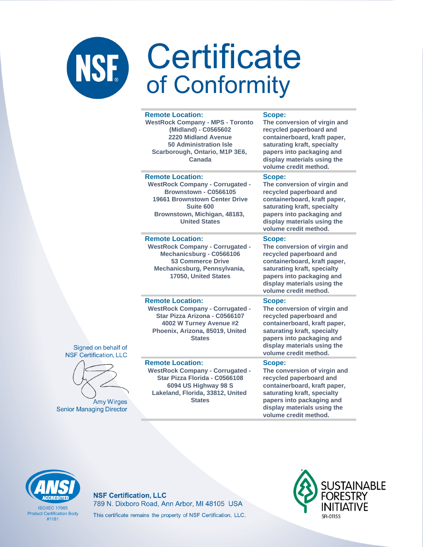|          | <b>Remote Location:</b><br><b>WestRock Company - MPS - Toronto</b><br>(Midland) - C0565602<br>2220 Midland Avenue<br><b>50 Administration Isle</b><br>Scarborough, Ontario, M1P 3E6,<br>Canada                 | <b>Scope:</b><br>The conversion of virgin and<br>recycled paperboard and<br>containerboard, kraft paper,<br>saturating kraft, specialty<br>papers into packaging and<br>display materials using the<br>volume credit method. |
|----------|----------------------------------------------------------------------------------------------------------------------------------------------------------------------------------------------------------------|------------------------------------------------------------------------------------------------------------------------------------------------------------------------------------------------------------------------------|
|          | <b>Remote Location:</b><br><b>WestRock Company - Corrugated -</b><br>Brownstown - C0566105<br><b>19661 Brownstown Center Drive</b><br><b>Suite 600</b><br>Brownstown, Michigan, 48183,<br><b>United States</b> | Scope:<br>The conversion of virgin and<br>recycled paperboard and<br>containerboard, kraft paper,<br>saturating kraft, specialty<br>papers into packaging and<br>display materials using the<br>volume credit method.        |
|          | <b>Remote Location:</b><br><b>WestRock Company - Corrugated -</b><br>Mechanicsburg - C0566106<br><b>53 Commerce Drive</b><br>Mechanicsburg, Pennsylvania,<br>17050, United States                              | Scope:<br>The conversion of virgin and<br>recycled paperboard and<br>containerboard, kraft paper,<br>saturating kraft, specialty<br>papers into packaging and<br>display materials using the<br>volume credit method.        |
| эf<br>C  | <b>Remote Location:</b><br><b>WestRock Company - Corrugated -</b><br>Star Pizza Arizona - C0566107<br>4002 W Turney Avenue #2<br>Phoenix, Arizona, 85019, United<br><b>States</b>                              | Scope:<br>The conversion of virgin and<br>recycled paperboard and<br>containerboard, kraft paper,<br>saturating kraft, specialty<br>papers into packaging and<br>display materials using the<br>volume credit method.        |
| эŚ<br>эr | <b>Remote Location:</b><br><b>WestRock Company - Corrugated -</b><br>Star Pizza Florida - C0566108<br>6094 US Highway 98 S<br>Lakeland, Florida, 33812, United<br><b>States</b>                                | Scope:<br>The conversion of virgin and<br>recycled paperboard and<br>containerboard, kraft paper,<br>saturating kraft, specialty<br>papers into packaging and<br>display materials using the<br>volume credit method.        |





**Amy Wirge Senior Managing Directo** 

**ISO/IFC 17065 Product Certification Body**  $#1181$ 

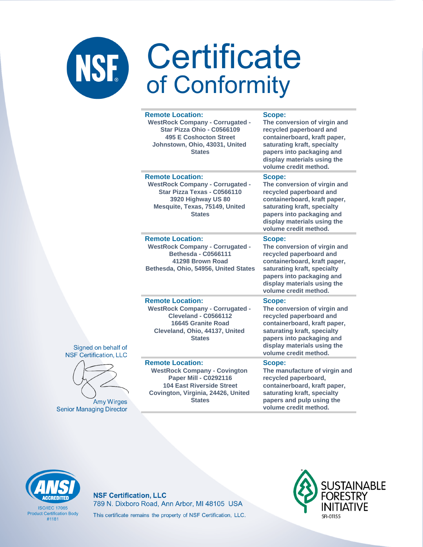|        | <b>Remote Location:</b><br><b>WestRock Company - Corrugated -</b><br>Star Pizza Ohio - C0566109<br><b>495 E Coshocton Street</b><br>Johnstown, Ohio, 43031, United<br><b>States</b>       | Scope:<br>The conversion of virgin and<br>recycled paperboard and<br>containerboard, kraft paper,<br>saturating kraft, specialty<br>papers into packaging and<br>display materials using the<br>volume credit method. |
|--------|-------------------------------------------------------------------------------------------------------------------------------------------------------------------------------------------|-----------------------------------------------------------------------------------------------------------------------------------------------------------------------------------------------------------------------|
|        | <b>Remote Location:</b><br><b>WestRock Company - Corrugated -</b><br>Star Pizza Texas - C0566110<br>3920 Highway US 80<br>Mesquite, Texas, 75149, United<br><b>States</b>                 | Scope:<br>The conversion of virgin and<br>recycled paperboard and<br>containerboard, kraft paper,<br>saturating kraft, specialty<br>papers into packaging and<br>display materials using the<br>volume credit method. |
|        | <b>Remote Location:</b><br><b>WestRock Company - Corrugated -</b><br><b>Bethesda - C0566111</b><br>41298 Brown Road<br>Bethesda, Ohio, 54956, United States                               | Scope:<br>The conversion of virgin and<br>recycled paperboard and<br>containerboard, kraft paper,<br>saturating kraft, specialty<br>papers into packaging and<br>display materials using the<br>volume credit method. |
| f<br>J | <b>Remote Location:</b><br><b>WestRock Company - Corrugated -</b><br><b>Cleveland - C0566112</b><br>16645 Granite Road<br>Cleveland, Ohio, 44137, United<br><b>States</b>                 | Scope:<br>The conversion of virgin and<br>recycled paperboard and<br>containerboard, kraft paper,<br>saturating kraft, specialty<br>papers into packaging and<br>display materials using the<br>volume credit method. |
| S      | <b>Remote Location:</b><br><b>WestRock Company - Covington</b><br><b>Paper Mill - C0292116</b><br><b>104 East Riverside Street</b><br>Covington, Virginia, 24426, United<br><b>States</b> | Scope:<br>The manufacture of virgin and<br>recycled paperboard,<br>containerboard, kraft paper,<br>saturating kraft, specialty<br>papers and pulp using the<br>volume credit method.                                  |





**Amy Wirges Senior Managing Director** 

# **ACCREDITED**

**ISO/IEC 17065 Product Certification Body**  $#1181$